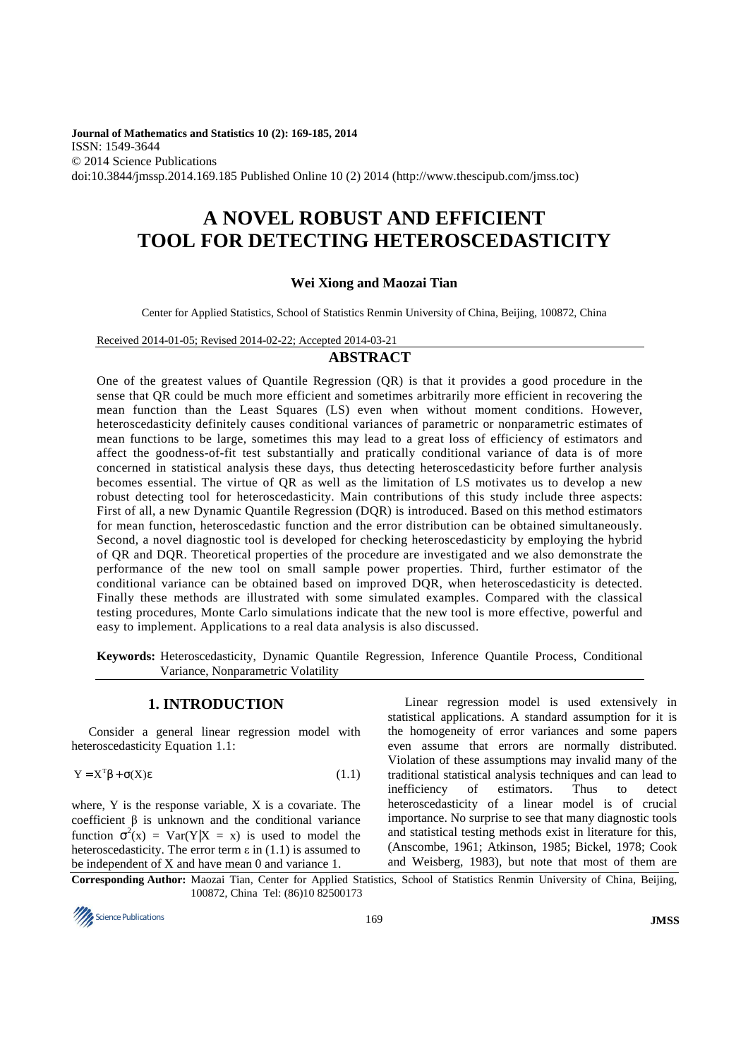**Journal of Mathematics and Statistics 10 (2): 169-185, 2014**  ISSN: 1549-3644 © 2014 Science Publications doi:10.3844/jmssp.2014.169.185 Published Online 10 (2) 2014 (http://www.thescipub.com/jmss.toc)

# **A NOVEL ROBUST AND EFFICIENT TOOL FOR DETECTING HETEROSCEDASTICITY**

# **Wei Xiong and Maozai Tian**

Center for Applied Statistics, School of Statistics Renmin University of China, Beijing, 100872, China

Received 2014-01-05; Revised 2014-02-22; Accepted 2014-03-21

# **ABSTRACT**

One of the greatest values of Quantile Regression (QR) is that it provides a good procedure in the sense that QR could be much more efficient and sometimes arbitrarily more efficient in recovering the mean function than the Least Squares (LS) even when without moment conditions. However, heteroscedasticity definitely causes conditional variances of parametric or nonparametric estimates of mean functions to be large, sometimes this may lead to a great loss of efficiency of estimators and affect the goodness-of-fit test substantially and pratically conditional variance of data is of more concerned in statistical analysis these days, thus detecting heteroscedasticity before further analysis becomes essential. The virtue of QR as well as the limitation of LS motivates us to develop a new robust detecting tool for heteroscedasticity. Main contributions of this study include three aspects: First of all, a new Dynamic Quantile Regression (DQR) is introduced. Based on this method estimators for mean function, heteroscedastic function and the error distribution can be obtained simultaneously. Second, a novel diagnostic tool is developed for checking heteroscedasticity by employing the hybrid of QR and DQR. Theoretical properties of the procedure are investigated and we also demonstrate the performance of the new tool on small sample power properties. Third, further estimator of the conditional variance can be obtained based on improved DQR, when heteroscedasticity is detected. Finally these methods are illustrated with some simulated examples. Compared with the classical testing procedures, Monte Carlo simulations indicate that the new tool is more effective, powerful and easy to implement. Applications to a real data analysis is also discussed.

**Keywords:** Heteroscedasticity, Dynamic Quantile Regression, Inference Quantile Process, Conditional Variance, Nonparametric Volatility

# **1. INTRODUCTION**

Consider a general linear regression model with heteroscedasticity Equation 1.1:

$$
Y = X^T \beta + \sigma(X) \epsilon \tag{1.1}
$$

where, Y is the response variable, X is a covariate. The coefficient β is unknown and the conditional variance function  $\sigma^2(x) = \text{Var}(Y|X = x)$  is used to model the heteroscedasticity. The error term  $\varepsilon$  in (1.1) is assumed to be independent of X and have mean 0 and variance 1.

Linear regression model is used extensively in statistical applications. A standard assumption for it is the homogeneity of error variances and some papers even assume that errors are normally distributed. Violation of these assumptions may invalid many of the traditional statistical analysis techniques and can lead to inefficiency of estimators. Thus to detect heteroscedasticity of a linear model is of crucial importance. No surprise to see that many diagnostic tools and statistical testing methods exist in literature for this, (Anscombe, 1961; Atkinson, 1985; Bickel, 1978; Cook and Weisberg, 1983), but note that most of them are

**Corresponding Author:** Maozai Tian, Center for Applied Statistics, School of Statistics Renmin University of China, Beijing, 100872, China Tel: (86)10 82500173

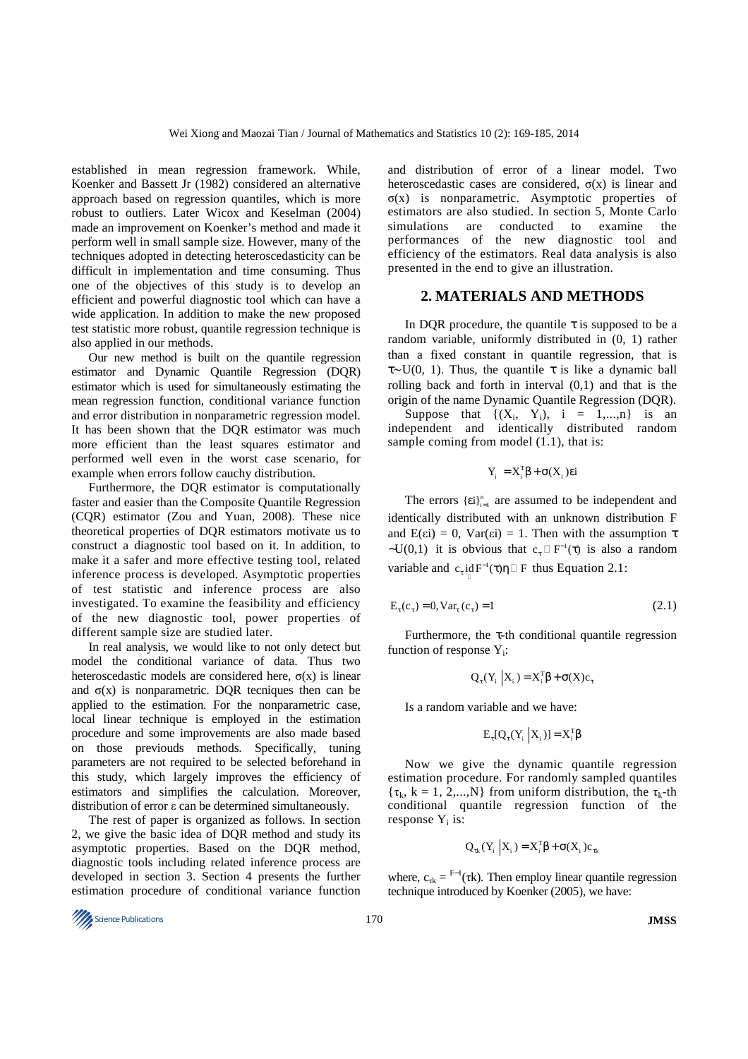established in mean regression framework. While, Koenker and Bassett Jr (1982) considered an alternative approach based on regression quantiles, which is more robust to outliers. Later Wicox and Keselman (2004) made an improvement on Koenker's method and made it perform well in small sample size. However, many of the techniques adopted in detecting heteroscedasticity can be difficult in implementation and time consuming. Thus one of the objectives of this study is to develop an efficient and powerful diagnostic tool which can have a wide application. In addition to make the new proposed test statistic more robust, quantile regression technique is also applied in our methods.

Our new method is built on the quantile regression estimator and Dynamic Quantile Regression (DQR) estimator which is used for simultaneously estimating the mean regression function, conditional variance function and error distribution in nonparametric regression model. It has been shown that the DQR estimator was much more efficient than the least squares estimator and performed well even in the worst case scenario, for example when errors follow cauchy distribution.

Furthermore, the DQR estimator is computationally faster and easier than the Composite Quantile Regression (CQR) estimator (Zou and Yuan, 2008). These nice theoretical properties of DQR estimators motivate us to construct a diagnostic tool based on it. In addition, to make it a safer and more effective testing tool, related inference process is developed. Asymptotic properties of test statistic and inference process are also investigated. To examine the feasibility and efficiency of the new diagnostic tool, power properties of different sample size are studied later.

In real analysis, we would like to not only detect but model the conditional variance of data. Thus two heteroscedastic models are considered here,  $\sigma(x)$  is linear and  $\sigma(x)$  is nonparametric. DQR tecniques then can be applied to the estimation. For the nonparametric case, local linear technique is employed in the estimation procedure and some improvements are also made based on those previouds methods. Specifically, tuning parameters are not required to be selected beforehand in this study, which largely improves the efficiency of estimators and simplifies the calculation. Moreover, distribution of error ε can be determined simultaneously.

The rest of paper is organized as follows. In section 2, we give the basic idea of DQR method and study its asymptotic properties. Based on the DQR method, diagnostic tools including related inference process are developed in section 3. Section 4 presents the further estimation procedure of conditional variance function and distribution of error of a linear model. Two heteroscedastic cases are considered,  $\sigma(x)$  is linear and σ(x) is nonparametric. Asymptotic properties of estimators are also studied. In section 5, Monte Carlo simulations are conducted to examine the performances of the new diagnostic tool and efficiency of the estimators. Real data analysis is also presented in the end to give an illustration.

#### **2. MATERIALS AND METHODS**

In DQR procedure, the quantile  $\tau$  is supposed to be a random variable, uniformly distributed in (0, 1) rather than a fixed constant in quantile regression, that is τ∼U(0, 1). Thus, the quantile τ is like a dynamic ball rolling back and forth in interval (0,1) and that is the origin of the name Dynamic Quantile Regression (DQR).

Suppose that  $\{(X_i, Y_i), i = 1,...,n\}$  is an independent and identically distributed random sample coming from model  $(1.1)$ , that is:

$$
Y_i = X_i^T \beta + \sigma(X_i) \varepsilon i
$$

The errors  $\{\epsilon i\}_{i=1}^n$  are assumed to be independent and identically distributed with an unknown distribution F and  $E(\varepsilon i) = 0$ ,  $Var(\varepsilon i) = 1$ . Then with the assumption  $\tau$  $\sim U(0,1)$  it is obvious that  $c_{\tau}$  F<sup>-1</sup>( $\tau$ ) is also a random variable and  $c_{\tau}$  id  $F^{-1}(\tau)\eta$  F thus Equation 2.1:

$$
E_{\tau}(c_{\tau}) = 0, \text{Var}_{\tau}(c_{\tau}) = 1 \tag{2.1}
$$

Furthermore, the  $\tau$ -th conditional quantile regression function of response  $Y_i$ :

$$
Q_{\tau}(Y_i | X_i) = X_i^{\mathrm{T}} \beta + \sigma(X) c_{\tau}
$$

Is a random variable and we have:

$$
E_{\tau}[Q_{\tau}(Y_i | X_i)] = X_i^T \beta
$$

Now we give the dynamic quantile regression estimation procedure. For randomly sampled quantiles  $\{\tau_k, k = 1, 2, \ldots, N\}$  from uniform distribution, the  $\tau_k$ -th conditional quantile regression function of the response  $Y_i$  is:

$$
Q_{\tau k}(Y_i | X_i) = X_i^{\text{T}} \beta + \sigma(X_i) c_{\tau k}
$$

where,  $c_{rk} = F^{-1}(\tau k)$ . Then employ linear quantile regression technique introduced by Koenker (2005), we have:

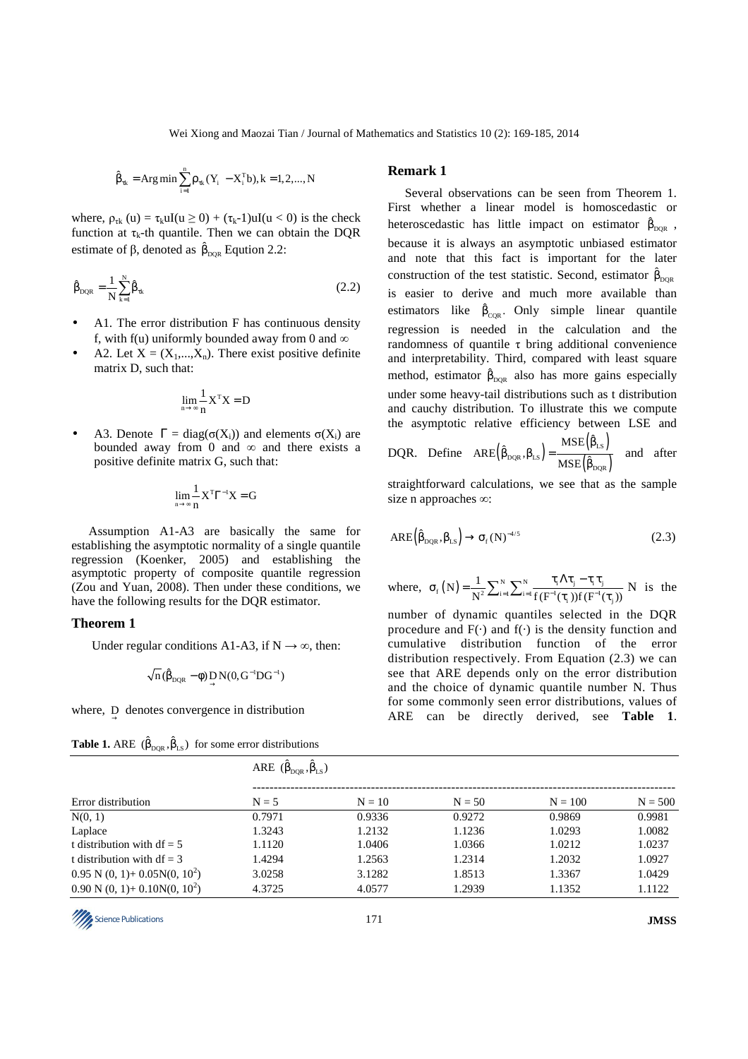Wei Xiong and Maozai Tian / Journal of Mathematics and Statistics 10 (2): 169-185, 2014

$$
\hat{\beta}_{\tau k} = Arg \min \sum_{i=1}^{n} \rho_{\tau k} (Y_i - X_i^T b), k = 1, 2, ..., N
$$

where,  $\rho_{\text{rk}}(u) = \tau_k uI(u \ge 0) + (\tau_k - 1)uI(u < 0)$  is the check function at  $\tau_k$ -th quantile. Then we can obtain the DQR estimate of  $\beta$ , denoted as  $\hat{\beta}_{DQR}$  Eqution 2.2:

$$
\hat{\beta}_{DQR} = \frac{1}{N} \sum_{k=1}^{N} \hat{\beta}_{tk}
$$
\n(2.2)

- A1. The error distribution F has continuous density f, with f(u) uniformly bounded away from 0 and  $\infty$
- A2. Let  $X = (X_1,...,X_n)$ . There exist positive definite matrix D, such that:

$$
\lim_{n\to\infty}\frac{1}{n}\mathbf{X}^{\mathrm{T}}\mathbf{X}=D
$$

A3. Denote  $\Gamma = \text{diag}(\sigma(X_i))$  and elements  $\sigma(X_i)$  are bounded away from 0 and  $\infty$  and there exists a positive definite matrix G, such that:

$$
\underset{n\rightarrow\infty}{lim}\frac{1}{n}X^T\Gamma^{-1}X=G
$$

Assumption A1-A3 are basically the same for establishing the asymptotic normality of a single quantile regression (Koenker, 2005) and establishing the asymptotic property of composite quantile regression (Zou and Yuan, 2008). Then under these conditions, we have the following results for the DQR estimator.

#### **Theorem 1**

Under regular conditions A1-A3, if  $N \rightarrow \infty$ , then:

$$
\sqrt{n}(\hat{\beta}_{DQR} - \phi) \mathop{D}_{\rightarrow} N(0, G^{-1}DG^{-1})
$$

where,  $\overrightarrow{D}$  denotes convergence in distribution

| <b>Table 1.</b> ARE $(\hat{\beta}_{\text{DQR}}, \hat{\beta}_{\text{LS}})$ for some error distributions |  |  |  |
|--------------------------------------------------------------------------------------------------------|--|--|--|
|--------------------------------------------------------------------------------------------------------|--|--|--|

# **Remark 1**

Several observations can be seen from Theorem 1. First whether a linear model is homoscedastic or heteroscedastic has little impact on estimator  $\hat{\beta}_{DQR}$ , because it is always an asymptotic unbiased estimator and note that this fact is important for the later construction of the test statistic. Second, estimator  $\hat{\beta}_{DQR}$ is easier to derive and much more available than estimators like  $\hat{\beta}_{\text{CQR}}$ . Only simple linear quantile regression is needed in the calculation and the randomness of quantile τ bring additional convenience and interpretability. Third, compared with least square method, estimator  $\hat{\beta}_{DQR}$  also has more gains especially under some heavy-tail distributions such as t distribution and cauchy distribution. To illustrate this we compute the asymptotic relative efficiency between LSE and

DQR. Define 
$$
ARE(\hat{\beta}_{DQR}, \beta_{LS}) = \frac{MSE(\hat{\beta}_{LS})}{MSE(\hat{\beta}_{DQR})}
$$
 and after

straightforward calculations, we see that as the sample size n approaches ∞:

$$
ARE(\hat{\beta}_{DQR}, \beta_{LS}) \rightarrow \sigma_f(N)^{-4/5}
$$
 (2.3)

where, 
$$
\sigma_f(N) = \frac{1}{N^2} \sum_{i=1}^{N} \sum_{j=1}^{N} \frac{\tau_i \Lambda \tau_j - \tau_i \tau_j}{f(F^{-1}(\tau_i)) f(F^{-1}(\tau_j))}
$$
 N is the

number of dynamic quantiles selected in the DQR procedure and  $F(\cdot)$  and  $f(\cdot)$  is the density function and cumulative distribution function of the error distribution respectively. From Equation (2.3) we can see that ARE depends only on the error distribution and the choice of dynamic quantile number N. Thus for some commonly seen error distributions, values of ARE can be directly derived, see **Table 1**.

|                                                    | ARE $(\hat{\beta}_{\text{DOR}}, \hat{\beta}_{\text{LS}})$ |          |          |           |           |
|----------------------------------------------------|-----------------------------------------------------------|----------|----------|-----------|-----------|
| Error distribution                                 | $N = 5$                                                   | $N = 10$ | $N = 50$ | $N = 100$ | $N = 500$ |
| N(0, 1)                                            | 0.7971                                                    | 0.9336   | 0.9272   | 0.9869    | 0.9981    |
| Laplace                                            | 1.3243                                                    | 1.2132   | 1.1236   | 1.0293    | 1.0082    |
| t distribution with $df = 5$                       | 1.1120                                                    | 1.0406   | 1.0366   | 1.0212    | 1.0237    |
| t distribution with $df = 3$                       | 1.4294                                                    | 1.2563   | 1.2314   | 1.2032    | 1.0927    |
| $0.95$ N $(0, 1)$ + $0.05N(0, 10^2)$               | 3.0258                                                    | 3.1282   | 1.8513   | 1.3367    | 1.0429    |
| $0.90 \text{ N } (0, 1) + 0.10 \text{N} (0, 10^2)$ | 4.3725                                                    | 4.0577   | 1.2939   | 1.1352    | 1.1122    |

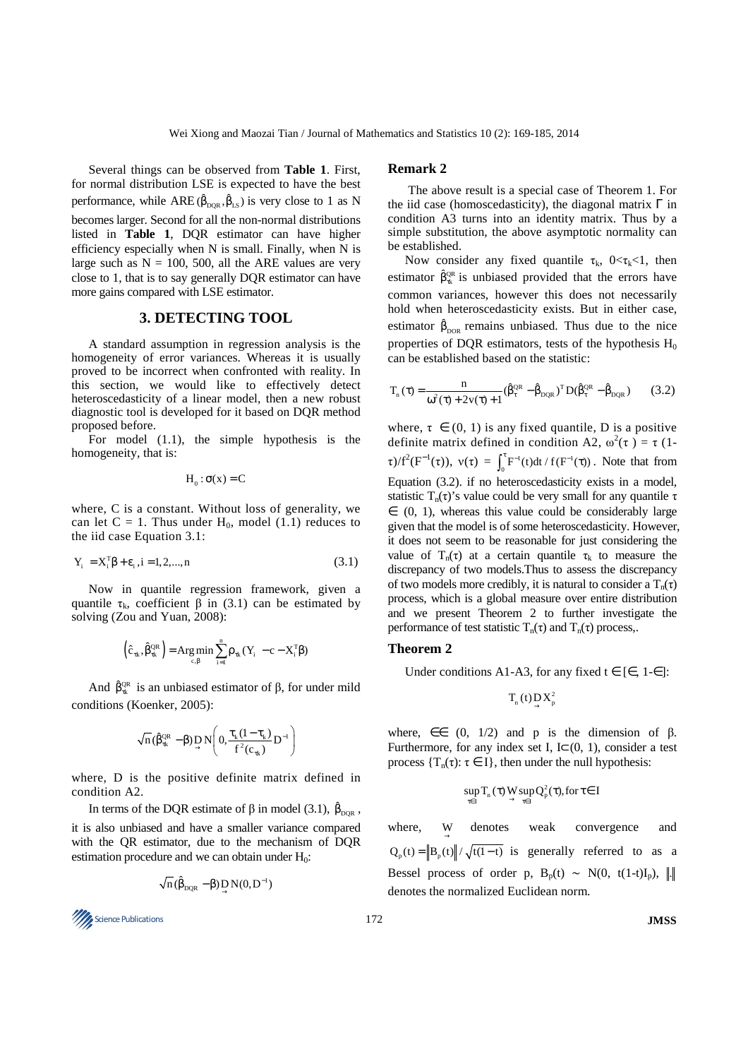Several things can be observed from **Table 1**. First, for normal distribution LSE is expected to have the best performance, while ARE  $(\hat{\beta}_{DQR}, \hat{\beta}_{LS})$  is very close to 1 as N becomes larger. Second for all the non-normal distributions listed in **Table 1**, DQR estimator can have higher efficiency especially when N is small. Finally, when N is large such as  $N = 100$ , 500, all the ARE values are very close to 1, that is to say generally DQR estimator can have more gains compared with LSE estimator.

# **3. DETECTING TOOL**

A standard assumption in regression analysis is the homogeneity of error variances. Whereas it is usually proved to be incorrect when confronted with reality. In this section, we would like to effectively detect heteroscedasticity of a linear model, then a new robust diagnostic tool is developed for it based on DQR method proposed before.

For model (1.1), the simple hypothesis is the homogeneity, that is:

$$
H_0: \sigma(x) = C
$$

where, C is a constant. Without loss of generality, we can let  $C = 1$ . Thus under  $H_0$ , model (1.1) reduces to the iid case Equation 3.1:

$$
Y_i = X_i^{\mathrm{T}} \beta + \varepsilon_i, i = 1, 2, ..., n \tag{3.1}
$$

Now in quantile regression framework, given a quantile τ<sub>k</sub>, coefficient β in (3.1) can be estimated by solving (Zou and Yuan, 2008):

$$
\left(\hat{c}_{\alpha k}, \hat{\beta}_{\alpha k}^{QR}\right) = \operatorname{Arg} \min_{c, \beta} \sum_{i=1}^{n} \rho_{\alpha k} (Y_i - c - X_i^T \beta)
$$

And  $\hat{\beta}_{\tau k}^{QR}$  is an unbiased estimator of  $\beta$ , for under mild conditions (Koenker, 2005):

$$
\sqrt{n} \, (\hat{\beta}_{\tau k}^{\text{QR}} - \beta) \mathop{\!\text{D}}_{\rightarrow} N \bigg( 0, \frac{\tau_{k} (1 - \tau_{k})}{f^{2} (c_{\tau k})} D^{-1} \bigg)
$$

where, D is the positive definite matrix defined in condition A2.

In terms of the DQR estimate of  $\beta$  in model (3.1),  $\hat{\beta}_{DQR}$ , it is also unbiased and have a smaller variance compared with the QR estimator, due to the mechanism of DQR estimation procedure and we can obtain under  $H_0$ :

$$
\sqrt{n} \, (\hat{\beta}_{DQR} - \beta) \mathop{D}_{\rightarrow} N(0, D^{-1})
$$



#### **Remark 2**

 The above result is a special case of Theorem 1. For the iid case (homoscedasticity), the diagonal matrix  $\Gamma$  in condition A3 turns into an identity matrix. Thus by a simple substitution, the above asymptotic normality can be established.

Now consider any fixed quantile  $\tau_k$ ,  $0 < \tau_k < 1$ , then estimator  $\hat{\beta}_{\alpha}^{QR}$  is unbiased provided that the errors have common variances, however this does not necessarily hold when heteroscedasticity exists. But in either case, estimator  $\hat{\beta}_{\text{DOR}}$  remains unbiased. Thus due to the nice properties of DQR estimators, tests of the hypothesis  $H_0$ can be established based on the statistic:

$$
T_{n}(\tau) = \frac{n}{\omega^{2}(\tau) + 2v(\tau) + 1} (\hat{\beta}_{\tau}^{QR} - \hat{\beta}_{DQR})^{T} D(\hat{\beta}_{\tau}^{QR} - \hat{\beta}_{DQR})
$$
 (3.2)

where,  $\tau \in (0, 1)$  is any fixed quantile, D is a positive definite matrix defined in condition A2,  $\omega^2(\tau) = \tau$  (1- $\tau$ )/ $f^2(F^{-1}(\tau))$ ,  $v(\tau) = \int_0^{\tau} F^{-1}(t) dt / f(F^{-1}(\tau))$ . Note that from Equation (3.2). if no heteroscedasticity exists in a model, statistic T<sub>n</sub>(τ)'s value could be very small for any quantile  $\tau$  $\in$  (0, 1), whereas this value could be considerably large given that the model is of some heteroscedasticity. However, it does not seem to be reasonable for just considering the value of  $T_n(\tau)$  at a certain quantile  $\tau_k$  to measure the discrepancy of two models.Thus to assess the discrepancy of two models more credibly, it is natural to consider a  $T_n(\tau)$ process, which is a global measure over entire distribution and we present Theorem 2 to further investigate the performance of test statistic  $T_n(\tau)$  and  $T_n(\tau)$  process,.

#### **Theorem 2**

Under conditions A1-A3, for any fixed  $t \in$  [∈, 1-∈]:

$$
T_n\left(t\right)\underset{\rightarrow}{D}X_p^2
$$

where,  $\epsilon \in (0, 1/2)$  and p is the dimension of  $\beta$ . Furthermore, for any index set I, I $\subset$ (0, 1), consider a test process  $\{T_n(\tau): \tau \in I\}$ , then under the null hypothesis:

$$
\sup_{\tau\in I} T_{_n}(\tau)\mathop{W}_{\to}\sup_{\tau\in I}Q^2_{_p}(\tau), \text{for}\, \tau\!\in I
$$

where, W denotes weak convergence and  $Q_{n}(t) = ||B_{n}(t)|| / \sqrt{t(1-t)}$  is generally referred to as a Bessel process of order p,  $B_p(t) \sim N(0, t(1-t)I_p)$ , || denotes the normalized Euclidean norm.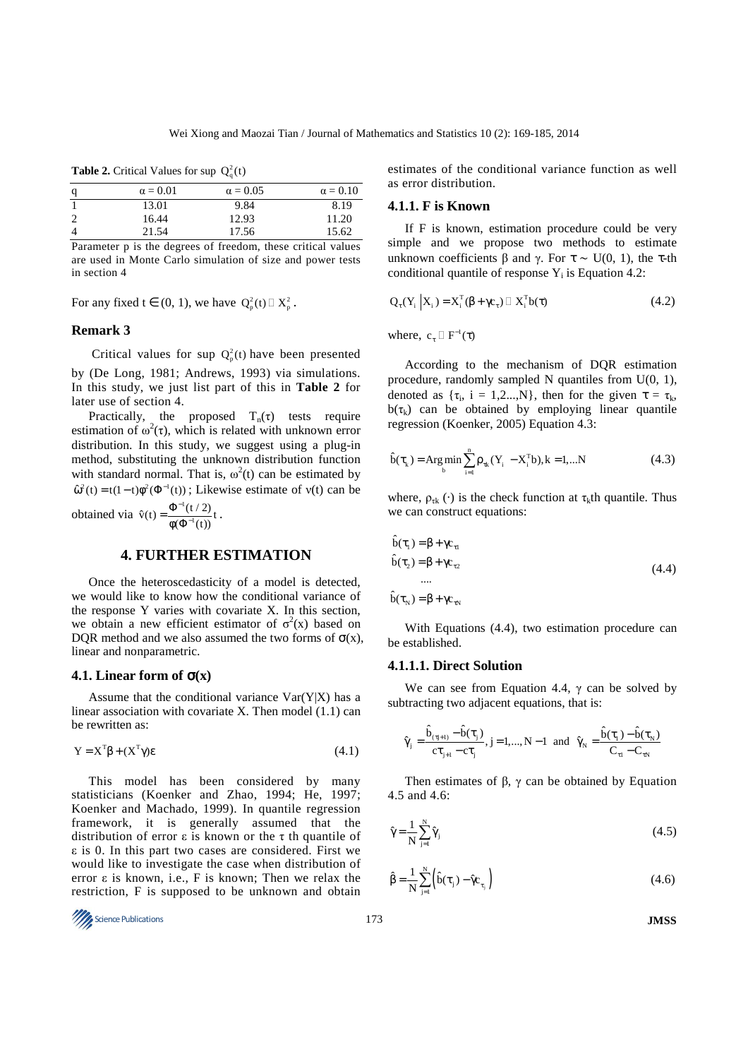**Table 2.** Critical Values for sup  $Q_a^2(t)$ 

| q | $\alpha = 0.01$ | $\alpha = 0.05$ | $\alpha = 0.10$ |
|---|-----------------|-----------------|-----------------|
|   | 13.01           | 9.84            | 8.19            |
|   | 16.44           | 12.93           | 11.20           |
| 4 | 21.54           | 17.56           | 15.62           |

Parameter p is the degrees of freedom, these critical values are used in Monte Carlo simulation of size and power tests in section 4

For any fixed  $t \in (0, 1)$ , we have  $Q_p^2(t)$   $X_p^2$ .

# **Remark 3**

Critical values for sup  $Q_p^2(t)$  have been presented by (De Long, 1981; Andrews, 1993) via simulations. In this study, we just list part of this in **Table 2** for later use of section 4.

Practically, the proposed  $T_n(\tau)$  tests require estimation of  $\omega^2(\tau)$ , which is related with unknown error distribution. In this study, we suggest using a plug-in method, substituting the unknown distribution function with standard normal. That is,  $\omega^2(t)$  can be estimated by  $\hat{\omega}^2(t) = t(1-t)\phi^2(\Phi^{-1}(t))$ ; Likewise estimate of  $v(t)$  can be

obtained via  $\hat{v}(t) = \frac{\Phi^{-1}}{1 + \Phi^{-1}}$  $\hat{v}(t) = \frac{\Phi^{-1}(t/2)}{\phi(\Phi^{-1}(t))} t$ − −  $=\frac{\Phi^{-1}(\Phi)}{\Phi(\Phi)}$ .

#### **4. FURTHER ESTIMATION**

Once the heteroscedasticity of a model is detected, we would like to know how the conditional variance of the response Y varies with covariate X. In this section, we obtain a new efficient estimator of  $\sigma^2(x)$  based on DQR method and we also assumed the two forms of  $\sigma(x)$ , linear and nonparametric.

#### **4.1. Linear form of** σ**(x)**

Assume that the conditional variance  $Var(Y|X)$  has a linear association with covariate X. Then model (1.1) can be rewritten as:

$$
Y = X^T \beta + (X^T \gamma) \epsilon \tag{4.1}
$$

This model has been considered by many statisticians (Koenker and Zhao, 1994; He, 1997; Koenker and Machado, 1999). In quantile regression framework, it is generally assumed that the distribution of error  $\varepsilon$  is known or the  $\tau$  th quantile of ε is 0. In this part two cases are considered. First we would like to investigate the case when distribution of error  $\varepsilon$  is known, i.e., F is known; Then we relax the restriction, F is supposed to be unknown and obtain



estimates of the conditional variance function as well as error distribution.

# **4.1.1. F is Known**

If F is known, estimation procedure could be very simple and we propose two methods to estimate unknown coefficients β and γ. For  $\tau \sim U(0, 1)$ , the τ-th conditional quantile of response  $Y_i$  is Equation 4.2:

$$
Q_{\tau}(Y_i | X_i) = X_i^{\mathrm{T}}(\beta + \gamma c_{\tau}) \quad X_i^{\mathrm{T}}b(\tau) \tag{4.2}
$$

where,  $c_{\tau}$   $F^{-1}(\tau)$ 

According to the mechanism of DQR estimation procedure, randomly sampled N quantiles from U(0, 1), denoted as  $\{\tau_i, i = 1, 2, ..., N\}$ , then for the given  $\tau = \tau_k$ ,  $b(\tau_k)$  can be obtained by employing linear quantile regression (Koenker, 2005) Equation 4.3:

$$
\hat{b}(\tau_k) = \operatorname{Arg\,min}_{b} \sum_{i=1}^{n} \rho_{\tau k} (Y_i - X_i^{\mathrm{T}} b), k = 1,...N
$$
\n(4.3)

where,  $\rho_{\tau k}(\cdot)$  is the check function at  $\tau_k$ th quantile. Thus we can construct equations:

$$
\hat{b}(\tau_1) = \beta + \gamma c_{\tau_1} \n\hat{b}(\tau_2) = \beta + \gamma c_{\tau_2} \n... \n\hat{b}(\tau_N) = \beta + \gamma c_{\tau_N}
$$
\n(4.4)

With Equations (4.4), two estimation procedure can be established.

# **4.1.1.1. Direct Solution**

We can see from Equation 4.4,  $\gamma$  can be solved by subtracting two adjacent equations, that is:

$$
\hat{\gamma}_j=\frac{\hat{b}_{(\tau j+1)}-\hat{b}(\tau_j)}{c\tau_{j+1}-c\tau_j},\ j=1,...,N-1\ \ \text{and}\ \ \hat{\gamma}_N=\frac{\hat{b}(\tau_1)-\hat{b}(\tau_N)}{C_{\tau 1}-C_{\tau N}}
$$

Then estimates of β,  $\gamma$  can be obtained by Equation 4.5 and 4.6:

$$
\hat{\gamma} = \frac{1}{N} \sum_{j=1}^{N} \hat{\gamma}_j
$$
\n(4.5)

$$
\hat{\beta} = \frac{1}{N} \sum_{j=1}^{N} \left( \hat{b}(\tau_j) - \hat{\gamma} c_{\tau_j} \right)
$$
\n(4.6)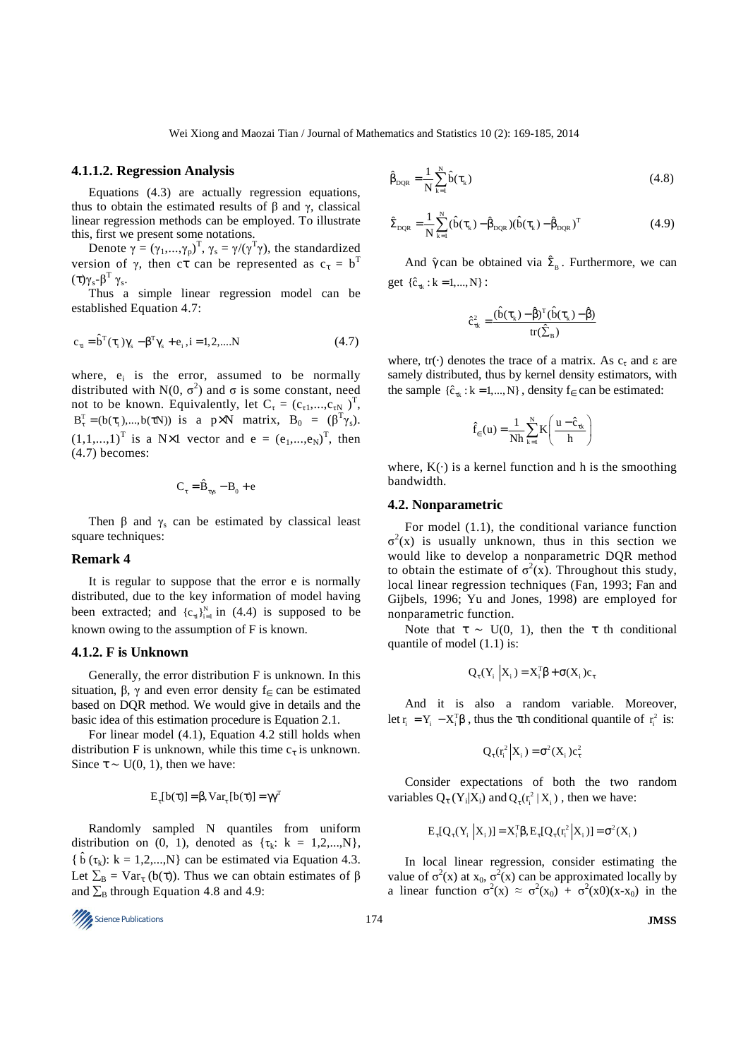#### **4.1.1.2. Regression Analysis**

Equations (4.3) are actually regression equations, thus to obtain the estimated results of β and γ, classical linear regression methods can be employed. To illustrate this, first we present some notations.

Denote  $\gamma = (\gamma_1, ..., \gamma_p)^T$ ,  $\gamma_s = \gamma/(\gamma^T \gamma)$ , the standardized version of  $\gamma$ , then ct can be represented as  $c_{\tau} = b^{T}$ (τ)γ<sub>s</sub>-β<sup>T</sup> γ<sub>s</sub>.

Thus a simple linear regression model can be established Equation 4.7:

$$
c_{\tau i} = \hat{b}^{T}(\tau_{i})\gamma_{s} - \beta^{T}\gamma_{s} + e_{i}, i = 1, 2, ....N
$$
\n(4.7)

where,  $e_i$  is the error, assumed to be normally distributed with N(0,  $\sigma^2$ ) and  $\sigma$  is some constant, need not to be known. Equivalently, let  $C_{\tau} = (c_{\tau 1},...,c_{\tau N})^T$ ,  $B_{\tau}^{T} = (b(\tau_1),...,b(\tau N))$  is a p×N matrix,  $B_0 = (\beta^{T} \gamma_s)$ .  $(1,1,...,1)^T$  is a N×1 vector and  $e = (e_1,...,e_N)^T$ , then (4.7) becomes:

$$
\mathbf{C}_{\tau} = \hat{\mathbf{B}}_{\tau\gamma s} - \mathbf{B}_{0} + \mathbf{e}
$$

Then  $\beta$  and  $\gamma_s$  can be estimated by classical least square techniques:

# **Remark 4**

It is regular to suppose that the error e is normally distributed, due to the key information of model having been extracted; and  ${c_{\pi}}_{i=1}^{N}$  in (4.4) is supposed to be known owing to the assumption of F is known.

# **4.1.2. F is Unknown**

Generally, the error distribution F is unknown. In this situation, β, γ and even error density  $f_{\epsilon}$  can be estimated based on DQR method. We would give in details and the basic idea of this estimation procedure is Equation 2.1.

For linear model (4.1), Equation 4.2 still holds when distribution F is unknown, while this time  $c_{\tau}$  is unknown. Since  $\tau \sim U(0, 1)$ , then we have:

$$
E_{\tau}[b(\tau)] = \beta, Var_{\tau}[b(\tau)] = \gamma \gamma^{T}
$$

Randomly sampled N quantiles from uniform distribution on  $(0, 1)$ , denoted as  $\{\tau_k: k = 1, 2, ..., N\}$ , {  $\hat{b}$  ( $\tau_k$ ):  $k = 1, 2, ..., N$ } can be estimated via Equation 4.3. Let  $\Sigma_B = \text{Var}_{\tau}$  (b( $\tau$ )). Thus we can obtain estimates of  $\beta$ and  $\Sigma_B$  through Equation 4.8 and 4.9:

$$
174
$$
 **1005 1005 1005 1005 1006 1006 1006 1007 1008 1008**

$$
\hat{\beta}_{\text{DQR}} = \frac{1}{N} \sum_{k=1}^{N} \hat{b}(\tau_k)
$$
\n(4.8)

$$
\hat{\Sigma}_{DQR} = \frac{1}{N} \sum_{k=1}^{N} (\hat{b}(\tau_k) - \hat{\beta}_{DQR})(\hat{b}(\tau_k) - \hat{\beta}_{DQR})^{T}
$$
(4.9)

And  $\hat{\gamma}$  can be obtained via  $\hat{\Sigma}_{\rm B}$ . Furthermore, we can get  $\{\hat{c}_{\tau k} : k = 1, ..., N\}$ :

$$
\hat{c}_{\tau k}^2 = \frac{(\hat{b}(\tau_k) - \hat{\beta})^T (\hat{b}(\tau_k) - \hat{\beta})}{tr(\hat{\Sigma}_B)}
$$

where,  $tr(\cdot)$  denotes the trace of a matrix. As  $c_{\tau}$  and  $\varepsilon$  are samely distributed, thus by kernel density estimators, with the sample  $\{\hat{c}_{\tau k} : k = 1, ..., N\}$ , density  $f_{\epsilon}$  can be estimated:

$$
\hat{f}_{\epsilon}(u) = \frac{1}{Nh} \sum_{k=1}^{N} K\left(\frac{u - \hat{c}_{\tau k}}{h}\right)
$$

where,  $K(\cdot)$  is a kernel function and h is the smoothing bandwidth.

#### **4.2. Nonparametric**

For model (1.1), the conditional variance function  $\sigma^2(x)$  is usually unknown, thus in this section we would like to develop a nonparametric DQR method to obtain the estimate of  $\sigma^2(x)$ . Throughout this study, local linear regression techniques (Fan, 1993; Fan and Gijbels, 1996; Yu and Jones, 1998) are employed for nonparametric function.

Note that  $\tau \sim U(0, 1)$ , then the  $\tau$  th conditional quantile of model (1.1) is:

$$
Q_{\tau}(Y_i | X_i) = X_i^{\text{T}} \beta + \sigma(X_i) c_{\tau}
$$

And it is also a random variable. Moreover, let  $\mathbf{r}_i = \mathbf{Y}_i - \mathbf{X}_i^T \boldsymbol{\beta}$ , thus the  $\boldsymbol{\tau}$ th conditional quantile of  $\mathbf{r}_i^2$  is:

$$
Q_{\tau}(r_i^2|X_i) = \sigma^2(X_i)c_{\tau}^2
$$

Consider expectations of both the two random variables  $Q_{\tau}(Y_i|X_i)$  and  $Q_{\tau}(r_i^2|X_i)$ , then we have:

$$
E_{\tau}[Q_{\tau}(Y_i | X_i)] = X_i^{\tau} \beta, E_{\tau}[Q_{\tau}(r_i^2 | X_i)] = \sigma^2(X_i)
$$

In local linear regression, consider estimating the value of  $\sigma^2(x)$  at  $x_0$ ,  $\sigma^2(x)$  can be approximated locally by a linear function  $\sigma^2(x) \approx \sigma^2(x_0) + \sigma^2(x_0)(x-x_0)$  in the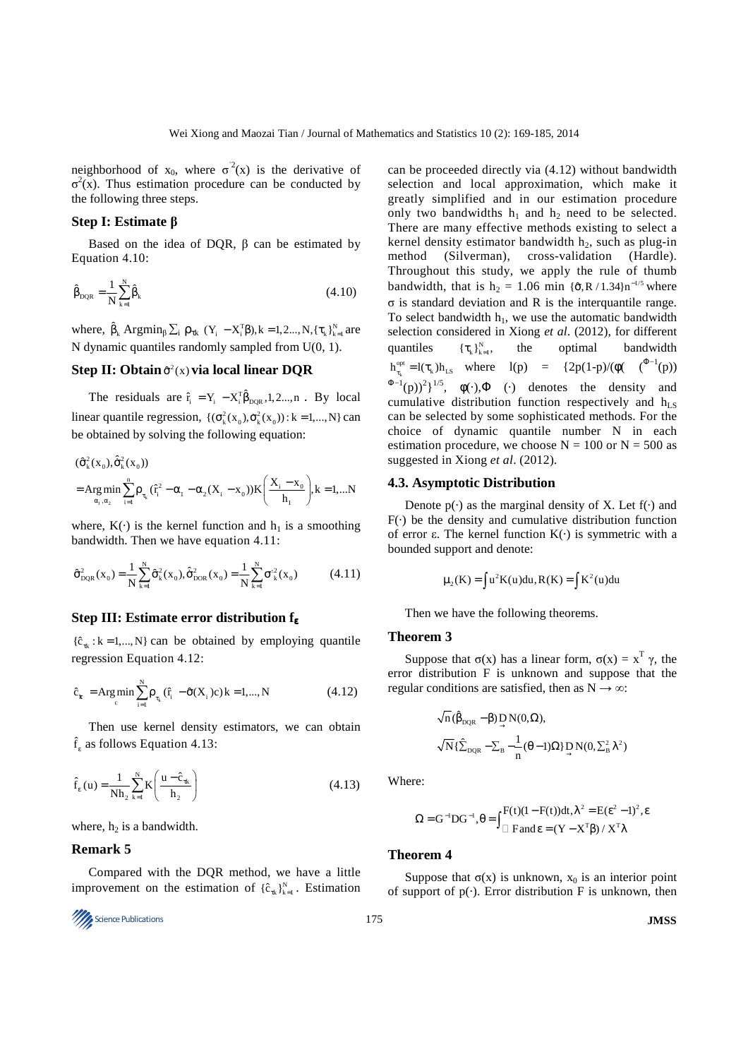neighborhood of  $x_0$ , where  $\sigma^2(x)$  is the derivative of  $\sigma^2(x)$ . Thus estimation procedure can be conducted by the following three steps.

#### **Step I: Estimate β**

Based on the idea of DQR,  $\beta$  can be estimated by Equation 4.10:

$$
\hat{\beta}_{DQR} = \frac{1}{N} \sum_{k=1}^{N} \hat{\beta}_{k}
$$
\n(4.10)

where,  $\hat{\beta}_k$  Argmin<sub> $\beta$ </sub>  $\Sigma_i$   $\rho_{\tau k}$  (Y<sub>i</sub>  $-X_i^T\beta$ ), k = 1,2..., N, { $\tau_k$ }<sub>k=1</sub> are N dynamic quantiles randomly sampled from U(0, 1).

# **Step II: Obtain**  $\hat{\sigma}^2(x)$  via local linear DQR

The residuals are  $\hat{r}_i = Y_i - X_i^T \hat{\beta}_{DQR}, 1, 2..., n$ . By local linear quantile regression,  $\{(\sigma_k^2(x_0), \dot{\sigma}_k^2(x_0)) : k = 1,..., N\}$  can be obtained by solving the following equation:

$$
\begin{aligned} &(\hat{\sigma}_k^2(x_0),\hat{\sigma}_k^2(x_0))\\ &=\underset{\alpha_i,\alpha_2}{\arg\min}\sum_{i=1}^n\rho_{\tau_k}(\hat{r}_i^2-\alpha_i-\alpha_2(X_i-x_0))K\left(\frac{X_i-x_0}{h_1}\right),k=1,...N\end{aligned}
$$

where,  $K(\cdot)$  is the kernel function and  $h_1$  is a smoothing bandwidth. Then we have equation 4.11:

$$
\hat{\sigma}_{DQR}^{2}(x_{0}) = \frac{1}{N} \sum_{k=1}^{N} \hat{\sigma}_{k}^{2}(x_{0}), \hat{\hat{\sigma}}_{DOR}^{2}(x_{0}) = \frac{1}{N} \sum_{k=1}^{N} \sigma_{k}^{2}(x_{0})
$$
(4.11)

# **Step III: Estimate error distribution f**<sup>ε</sup>

 $\{\hat{c}_{\tau k} : k = 1, ..., N\}$  can be obtained by employing quantile regression Equation 4.12:

$$
\hat{c}_{k} = \operatorname{Arg\,min}_{c} \sum_{i=1}^{N} \rho_{\tau_{k}}(\hat{r}_{i} - \hat{\sigma}(X_{i})c) k = 1,..., N \tag{4.12}
$$

Then use kernel density estimators, we can obtain  $\hat{f}_{\varepsilon}$  as follows Equation 4.13:

$$
\hat{f}_{\varepsilon}(u) = \frac{1}{Nh_2} \sum_{k=1}^{N} K\left(\frac{u - \hat{c}_{\tau k}}{h_2}\right)
$$
\n(4.13)

where,  $h_2$  is a bandwidth.

#### **Remark 5**

Compared with the DQR method, we have a little improvement on the estimation of  $\{\hat{c}_{\tau k}\}_{k=1}^{N}$ . Estimation

Science Publications 175 **JMSS** 

can be proceeded directly via (4.12) without bandwidth selection and local approximation, which make it greatly simplified and in our estimation procedure only two bandwidths  $h_1$  and  $h_2$  need to be selected. There are many effective methods existing to select a kernel density estimator bandwidth  $h_2$ , such as plug-in method (Silverman), cross-validation (Hardle). Throughout this study, we apply the rule of thumb bandwidth, that is  $h_2 = 1.06$  min  $\{\hat{\sigma}, R / 1.34\}$ n<sup>-1/5</sup> where σ is standard deviation and R is the interquantile range. To select bandwidth  $h_1$ , we use the automatic bandwidth selection considered in Xiong *et al*. (2012), for different quantiles  ${\{\tau_{k}\}}_{k=1}^{N},$ the optimal bandwidth k  $h_{\tau_k}^{\text{opt}} = l(\tau_k)h_{LS}$  where  $l(p) = {2p(1-p)}/{(\phi(-(\tau_k))^2)}$  $(\Phi^{-1}(p))^2$ <sup>1/5</sup>,  $\phi(\cdot), \Phi$  (·) denotes the density and cumulative distribution function respectively and  $h_{LS}$ can be selected by some sophisticated methods. For the choice of dynamic quantile number N in each estimation procedure, we choose  $N = 100$  or  $N = 500$  as suggested in Xiong *et al*. (2012).

#### **4.3. Asymptotic Distribution**

Denote  $p(\cdot)$  as the marginal density of X. Let  $f(\cdot)$  and  $F(\cdot)$  be the density and cumulative distribution function of error ε. The kernel function K(·) is symmetric with a bounded support and denote:

$$
\mu_2(K) = \int u^2 K(u) du, R(K) = \int K^2(u) du
$$

Then we have the following theorems.

#### **Theorem 3**

Suppose that  $\sigma(x)$  has a linear form,  $\sigma(x) = x^T \gamma$ , the error distribution F is unknown and suppose that the regular conditions are satisfied, then as  $N \rightarrow \infty$ :

$$
\begin{aligned} &\sqrt{n}\,(\hat{\beta}_{DQR}-\beta)\mathop{D}_{\rightarrow}N(0,\Omega),\\ &\sqrt{N}\{\hat{\Sigma}_{DQR}-\Sigma_{B}-\frac{1}{n}(\theta-1)\Omega\}\mathop{D}_{\rightarrow}N(0,\Sigma_{B}^{2}\lambda^{2}) \end{aligned}
$$

Where:

$$
\Omega = G^{-1}DG^{-1}, \theta = \int F(t)(1 - F(t))dt, \lambda^2 = E(\epsilon^2 - 1)^2, \epsilon
$$
  
 
$$
F \text{ and } \epsilon = (Y - X^T \beta) / X^T \lambda
$$

#### **Theorem 4**

Suppose that  $\sigma(x)$  is unknown,  $x_0$  is an interior point of support of  $p(\cdot)$ . Error distribution F is unknown, then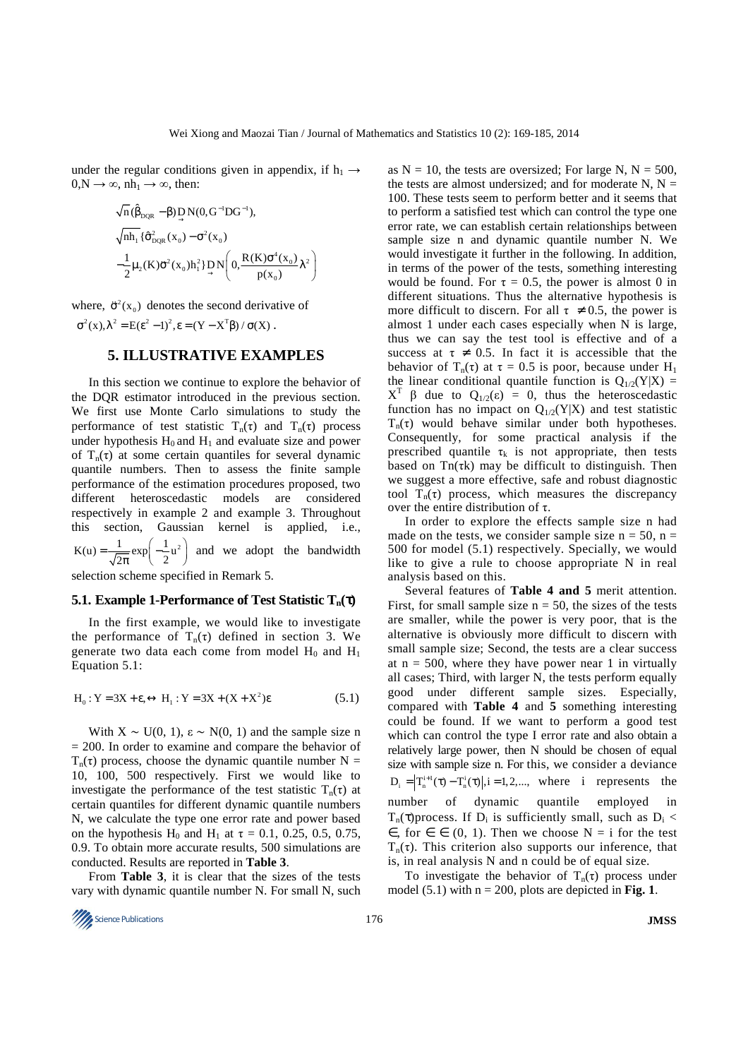under the regular conditions given in appendix, if  $h_1 \rightarrow$  $0, N \rightarrow \infty$ , nh<sub>1</sub>  $\rightarrow \infty$ , then:

$$
\begin{aligned}\n\sqrt{n}(\hat{\beta}_{DQR}-\beta)\mathop{D}_{\rightarrow}N(0,G^{-1}DG^{-1}),\\ \n\sqrt{n h_1} \{\hat{\sigma}_{DQR}^2(x_0)-\sigma^2(x_0)\\ \n-\frac{1}{2}\mu_2(K)\vec{\sigma}^2(x_0)h_1^2\mathop{D}_{\rightarrow}N\left(0,\frac{R(K)\sigma^4(x_0)}{p(x_0)}\lambda^2\right)\n\end{aligned}
$$

where,  $\ddot{\sigma}^2(x_0)$  denotes the second derivative of  $\sigma^2(x)$ ,  $\lambda^2 = E(\epsilon^2 - 1)^2$ ,  $\epsilon = (Y - X^T \beta) / \sigma(X)$ .

# **5. ILLUSTRATIVE EXAMPLES**

In this section we continue to explore the behavior of the DQR estimator introduced in the previous section. We first use Monte Carlo simulations to study the performance of test statistic  $T_n(\tau)$  and  $T_n(\tau)$  process under hypothesis  $H_0$  and  $H_1$  and evaluate size and power of  $T_n(\tau)$  at some certain quantiles for several dynamic quantile numbers. Then to assess the finite sample performance of the estimation procedures proposed, two different heteroscedastic models are considered respectively in example 2 and example 3. Throughout this section, Gaussian kernel is applied, i.e.,  $K(u) = {1 \over \sqrt{2\pi}} exp\left(-{1 \over 2}u^2\right)$  $= \frac{1}{\sqrt{2\pi}} \exp\left(-\frac{1}{2}u^2\right)$  and we adopt the bandwidth

selection scheme specified in Remark 5.

# **5.1. Example 1-Performance of Test Statistic Tn(**τ**)**

In the first example, we would like to investigate the performance of  $T_n(\tau)$  defined in section 3. We generate two data each come from model  $H_0$  and  $H_1$ Equation 5.1:

$$
H_0: Y = 3X + \varepsilon, \leftrightarrow H_1: Y = 3X + (X + X^2)\varepsilon
$$
\n(5.1)

With  $X \sim U(0, 1)$ ,  $\varepsilon \sim N(0, 1)$  and the sample size n  $= 200$ . In order to examine and compare the behavior of  $T_n(\tau)$  process, choose the dynamic quantile number N = 10, 100, 500 respectively. First we would like to investigate the performance of the test statistic  $T_n(\tau)$  at certain quantiles for different dynamic quantile numbers N, we calculate the type one error rate and power based on the hypothesis H<sub>0</sub> and H<sub>1</sub> at  $\tau = 0.1, 0.25, 0.5, 0.75$ , 0.9. To obtain more accurate results, 500 simulations are conducted. Results are reported in **Table 3**.

From **Table 3**, it is clear that the sizes of the tests vary with dynamic quantile number N. For small N, such as  $N = 10$ , the tests are oversized; For large N,  $N = 500$ , the tests are almost undersized; and for moderate N,  $N =$ 100. These tests seem to perform better and it seems that to perform a satisfied test which can control the type one error rate, we can establish certain relationships between sample size n and dynamic quantile number N. We would investigate it further in the following. In addition, in terms of the power of the tests, something interesting would be found. For  $\tau = 0.5$ , the power is almost 0 in different situations. Thus the alternative hypothesis is more difficult to discern. For all  $\tau \neq 0.5$ , the power is almost 1 under each cases especially when N is large, thus we can say the test tool is effective and of a success at  $\tau \neq 0.5$ . In fact it is accessible that the behavior of  $T_n(\tau)$  at  $\tau = 0.5$  is poor, because under H<sub>1</sub> the linear conditional quantile function is  $Q_{1/2}(Y|X) =$  $X^T \beta$  due to  $Q_{1/2}(\epsilon) = 0$ , thus the heteroscedastic function has no impact on  $Q_{1/2}(Y|X)$  and test statistic  $T_n(\tau)$  would behave similar under both hypotheses. Consequently, for some practical analysis if the prescribed quantile  $\tau_k$  is not appropriate, then tests based on  $Tn(\tau k)$  may be difficult to distinguish. Then we suggest a more effective, safe and robust diagnostic tool  $T_n(\tau)$  process, which measures the discrepancy over the entire distribution of τ.

In order to explore the effects sample size n had made on the tests, we consider sample size  $n = 50$ ,  $n =$ 500 for model (5.1) respectively. Specially, we would like to give a rule to choose appropriate N in real analysis based on this.

Several features of **Table 4 and 5** merit attention. First, for small sample size  $n = 50$ , the sizes of the tests are smaller, while the power is very poor, that is the alternative is obviously more difficult to discern with small sample size; Second, the tests are a clear success at  $n = 500$ , where they have power near 1 in virtually all cases; Third, with larger N, the tests perform equally good under different sample sizes. Especially, compared with **Table 4** and **5** something interesting could be found. If we want to perform a good test which can control the type I error rate and also obtain a relatively large power, then N should be chosen of equal size with sample size n. For this, we consider a deviance  $D_i = \left| T_n^{i+1}(\tau) - T_n^i(\tau) \right|, i = 1,2,...,$  where i represents the number of dynamic quantile employed in  $T_n(\tau)$ process. If  $D_i$  is sufficiently small, such as  $D_i$  <  $\epsilon$ , for  $\epsilon \in (0, 1)$ . Then we choose N = i for the test  $T_n(\tau)$ . This criterion also supports our inference, that is, in real analysis N and n could be of equal size.

To investigate the behavior of  $T_n(\tau)$  process under model  $(5.1)$  with  $n = 200$ , plots are depicted in **Fig. 1**.

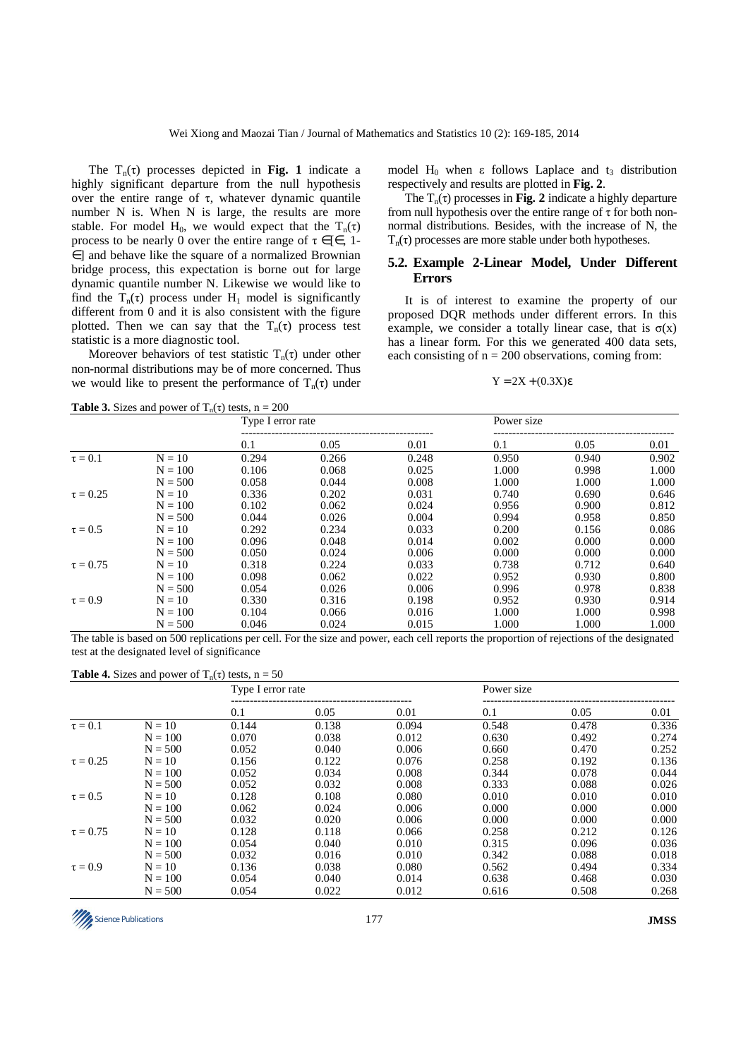The  $T_n(\tau)$  processes depicted in **Fig. 1** indicate a highly significant departure from the null hypothesis over the entire range of τ, whatever dynamic quantile number N is. When N is large, the results are more stable. For model H<sub>0</sub>, we would expect that the T<sub>n</sub>(τ) process to be nearly 0 over the entire range of  $\tau \in [\epsilon, 1-\epsilon]$ ∈] and behave like the square of a normalized Brownian bridge process, this expectation is borne out for large dynamic quantile number N. Likewise we would like to find the  $T_n(\tau)$  process under H<sub>1</sub> model is significantly different from 0 and it is also consistent with the figure plotted. Then we can say that the  $T_n(\tau)$  process test statistic is a more diagnostic tool.

Moreover behaviors of test statistic  $T_n(\tau)$  under other non-normal distributions may be of more concerned. Thus we would like to present the performance of  $T_n(\tau)$  under

model H<sub>0</sub> when ε follows Laplace and t<sub>3</sub> distribution respectively and results are plotted in **Fig. 2**.

The  $T_n(\tau)$  processes in **Fig. 2** indicate a highly departure from null hypothesis over the entire range of  $\tau$  for both nonnormal distributions. Besides, with the increase of N, the  $T_n(\tau)$  processes are more stable under both hypotheses.

# **5.2. Example 2-Linear Model, Under Different Errors**

It is of interest to examine the property of our proposed DQR methods under different errors. In this example, we consider a totally linear case, that is  $\sigma(x)$ has a linear form. For this we generated 400 data sets, each consisting of  $n = 200$  observations, coming from:

# $Y = 2X + (0.3X)\varepsilon$

**Table 3.** Sizes and power of  $T_n(\tau)$  tests,  $n = 200$ 

|               | $\cdots$  | Type I error rate |       |       | Power size |       |       |
|---------------|-----------|-------------------|-------|-------|------------|-------|-------|
|               |           | 0.1               | 0.05  | 0.01  | 0.1        | 0.05  | 0.01  |
| $\tau = 0.1$  | $N = 10$  | 0.294             | 0.266 | 0.248 | 0.950      | 0.940 | 0.902 |
|               | $N = 100$ | 0.106             | 0.068 | 0.025 | 1.000      | 0.998 | 1.000 |
|               | $N = 500$ | 0.058             | 0.044 | 0.008 | 1.000      | 1.000 | 1.000 |
| $\tau = 0.25$ | $N = 10$  | 0.336             | 0.202 | 0.031 | 0.740      | 0.690 | 0.646 |
|               | $N = 100$ | 0.102             | 0.062 | 0.024 | 0.956      | 0.900 | 0.812 |
|               | $N = 500$ | 0.044             | 0.026 | 0.004 | 0.994      | 0.958 | 0.850 |
| $\tau = 0.5$  | $N = 10$  | 0.292             | 0.234 | 0.033 | 0.200      | 0.156 | 0.086 |
|               | $N = 100$ | 0.096             | 0.048 | 0.014 | 0.002      | 0.000 | 0.000 |
|               | $N = 500$ | 0.050             | 0.024 | 0.006 | 0.000      | 0.000 | 0.000 |
| $\tau = 0.75$ | $N = 10$  | 0.318             | 0.224 | 0.033 | 0.738      | 0.712 | 0.640 |
|               | $N = 100$ | 0.098             | 0.062 | 0.022 | 0.952      | 0.930 | 0.800 |
|               | $N = 500$ | 0.054             | 0.026 | 0.006 | 0.996      | 0.978 | 0.838 |
| $\tau = 0.9$  | $N = 10$  | 0.330             | 0.316 | 0.198 | 0.952      | 0.930 | 0.914 |
|               | $N = 100$ | 0.104             | 0.066 | 0.016 | 1.000      | 1.000 | 0.998 |
|               | $N = 500$ | 0.046             | 0.024 | 0.015 | 1.000      | 1.000 | 1.000 |

The table is based on 500 replications per cell. For the size and power, each cell reports the proportion of rejections of the designated test at the designated level of significance

#### **Table 4.** Sizes and power of  $T_n(\tau)$  tests,  $n = 50$

|               |           | Type I error rate |       |       | Power size |       |       |
|---------------|-----------|-------------------|-------|-------|------------|-------|-------|
|               |           | 0.1               | 0.05  | 0.01  | 0.1        | 0.05  | 0.01  |
| $\tau = 0.1$  | $N = 10$  | 0.144             | 0.138 | 0.094 | 0.548      | 0.478 | 0.336 |
|               | $N = 100$ | 0.070             | 0.038 | 0.012 | 0.630      | 0.492 | 0.274 |
|               | $N = 500$ | 0.052             | 0.040 | 0.006 | 0.660      | 0.470 | 0.252 |
| $\tau = 0.25$ | $N = 10$  | 0.156             | 0.122 | 0.076 | 0.258      | 0.192 | 0.136 |
|               | $N = 100$ | 0.052             | 0.034 | 0.008 | 0.344      | 0.078 | 0.044 |
|               | $N = 500$ | 0.052             | 0.032 | 0.008 | 0.333      | 0.088 | 0.026 |
| $\tau = 0.5$  | $N = 10$  | 0.128             | 0.108 | 0.080 | 0.010      | 0.010 | 0.010 |
|               | $N = 100$ | 0.062             | 0.024 | 0.006 | 0.000      | 0.000 | 0.000 |
|               | $N = 500$ | 0.032             | 0.020 | 0.006 | 0.000      | 0.000 | 0.000 |
| $\tau = 0.75$ | $N = 10$  | 0.128             | 0.118 | 0.066 | 0.258      | 0.212 | 0.126 |
|               | $N = 100$ | 0.054             | 0.040 | 0.010 | 0.315      | 0.096 | 0.036 |
|               | $N = 500$ | 0.032             | 0.016 | 0.010 | 0.342      | 0.088 | 0.018 |
| $\tau = 0.9$  | $N = 10$  | 0.136             | 0.038 | 0.080 | 0.562      | 0.494 | 0.334 |
|               | $N = 100$ | 0.054             | 0.040 | 0.014 | 0.638      | 0.468 | 0.030 |
|               | $N = 500$ | 0.054             | 0.022 | 0.012 | 0.616      | 0.508 | 0.268 |

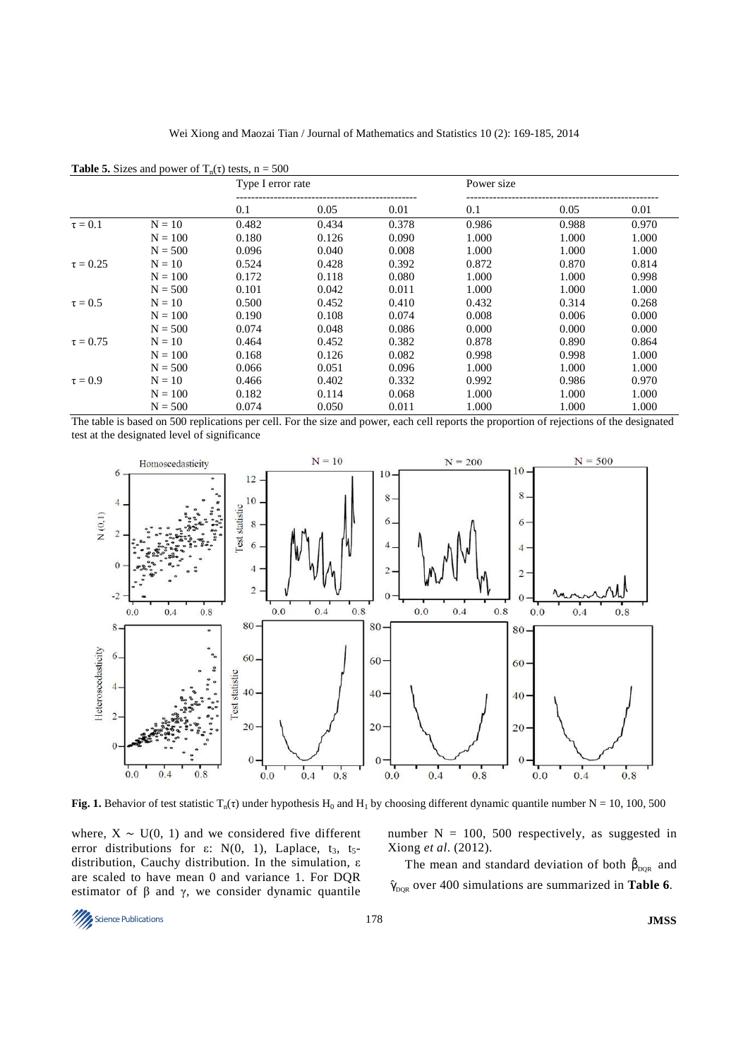|               |           | $\mathbf{u} \cdot \mathbf{v}$<br>Type I error rate |       |       | Power size |       |       |
|---------------|-----------|----------------------------------------------------|-------|-------|------------|-------|-------|
|               |           | 0.1                                                | 0.05  | 0.01  | 0.1        | 0.05  | 0.01  |
| $\tau = 0.1$  | $N = 10$  | 0.482                                              | 0.434 | 0.378 | 0.986      | 0.988 | 0.970 |
|               | $N = 100$ | 0.180                                              | 0.126 | 0.090 | 1.000      | 1.000 | 1.000 |
|               | $N = 500$ | 0.096                                              | 0.040 | 0.008 | 1.000      | 1.000 | 1.000 |
| $\tau = 0.25$ | $N = 10$  | 0.524                                              | 0.428 | 0.392 | 0.872      | 0.870 | 0.814 |
|               | $N = 100$ | 0.172                                              | 0.118 | 0.080 | 1.000      | 1.000 | 0.998 |
|               | $N = 500$ | 0.101                                              | 0.042 | 0.011 | 1.000      | 1.000 | 1.000 |
| $\tau = 0.5$  | $N = 10$  | 0.500                                              | 0.452 | 0.410 | 0.432      | 0.314 | 0.268 |
|               | $N = 100$ | 0.190                                              | 0.108 | 0.074 | 0.008      | 0.006 | 0.000 |
|               | $N = 500$ | 0.074                                              | 0.048 | 0.086 | 0.000      | 0.000 | 0.000 |
| $\tau = 0.75$ | $N = 10$  | 0.464                                              | 0.452 | 0.382 | 0.878      | 0.890 | 0.864 |
|               | $N = 100$ | 0.168                                              | 0.126 | 0.082 | 0.998      | 0.998 | 1.000 |
|               | $N = 500$ | 0.066                                              | 0.051 | 0.096 | 1.000      | 1.000 | 1.000 |
| $\tau = 0.9$  | $N = 10$  | 0.466                                              | 0.402 | 0.332 | 0.992      | 0.986 | 0.970 |
|               | $N = 100$ | 0.182                                              | 0.114 | 0.068 | 1.000      | 1.000 | 1.000 |
|               | $N = 500$ | 0.074                                              | 0.050 | 0.011 | 1.000      | 1.000 | 1.000 |

**Table 5.** Sizes and power of  $T_n(\tau)$  tests,  $n = 500$ 

The table is based on 500 replications per cell. For the size and power, each cell reports the proportion of rejections of the designated test at the designated level of significance



**Fig. 1.** Behavior of test statistic  $T_n(\tau)$  under hypothesis H<sub>0</sub> and H<sub>1</sub> by choosing different dynamic quantile number N = 10, 100, 500

where,  $X \sim U(0, 1)$  and we considered five different error distributions for  $\varepsilon$ : N(0, 1), Laplace, t<sub>3</sub>, t<sub>5</sub>distribution, Cauchy distribution. In the simulation, ε are scaled to have mean 0 and variance 1. For DQR estimator of  $\beta$  and  $\gamma$ , we consider dynamic quantile number  $N = 100$ , 500 respectively, as suggested in Xiong *et al*. (2012).

The mean and standard deviation of both  $\hat{\beta}_{DQR}$  and  $\hat{\gamma}_{\text{DQR}}$  over 400 simulations are summarized in **Table 6**.

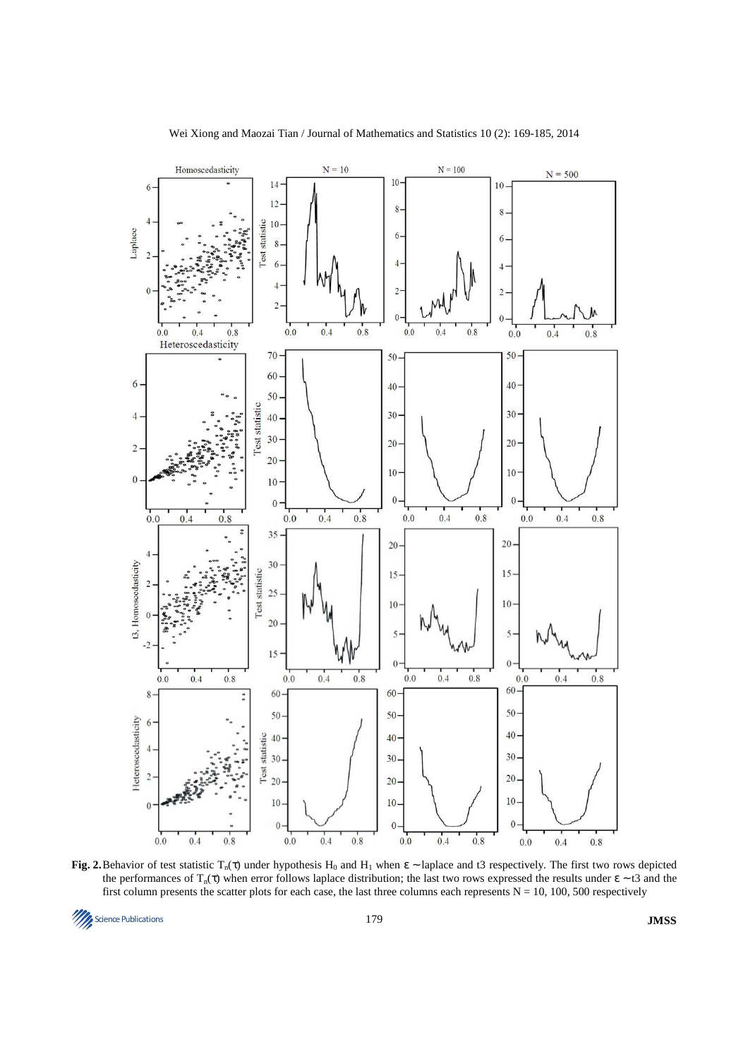

**Fig. 2.** Behavior of test statistic  $T_n(\tau)$  under hypothesis  $H_0$  and  $H_1$  when  $\epsilon$  ~ laplace and t3 respectively. The first two rows depicted the performances of  $T_n(\tau)$  when error follows laplace distribution; the last two rows expressed the results under  $\epsilon \sim t^2$  and the first column presents the scatter plots for each case, the last three columns each represents  $N = 10$ , 100, 500 respectively

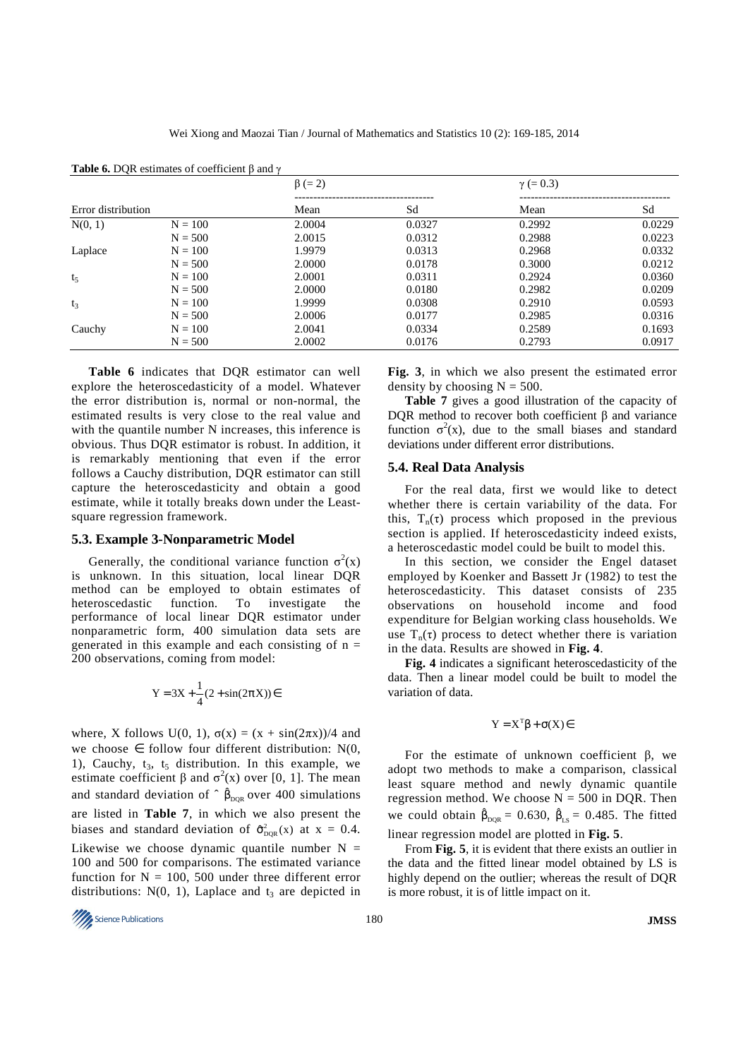|                    |           | $\beta (= 2)$ |        |        |        |
|--------------------|-----------|---------------|--------|--------|--------|
| Error distribution |           | Mean          | Sd     | Mean   | Sd     |
| N(0, 1)            | $N = 100$ | 2.0004        | 0.0327 | 0.2992 | 0.0229 |
|                    | $N = 500$ | 2.0015        | 0.0312 | 0.2988 | 0.0223 |
| Laplace            | $N = 100$ | 1.9979        | 0.0313 | 0.2968 | 0.0332 |
|                    | $N = 500$ | 2.0000        | 0.0178 | 0.3000 | 0.0212 |
| $t_5$              | $N = 100$ | 2.0001        | 0.0311 | 0.2924 | 0.0360 |
|                    | $N = 500$ | 2.0000        | 0.0180 | 0.2982 | 0.0209 |
| $t_3$              | $N = 100$ | 1.9999        | 0.0308 | 0.2910 | 0.0593 |
|                    | $N = 500$ | 2.0006        | 0.0177 | 0.2985 | 0.0316 |
| Cauchy             | $N = 100$ | 2.0041        | 0.0334 | 0.2589 | 0.1693 |
|                    | $N = 500$ | 2.0002        | 0.0176 | 0.2793 | 0.0917 |

**Table 6.** DQR estimates of coefficient β and γ

**Table 6** indicates that DQR estimator can well explore the heteroscedasticity of a model. Whatever the error distribution is, normal or non-normal, the estimated results is very close to the real value and with the quantile number N increases, this inference is obvious. Thus DQR estimator is robust. In addition, it is remarkably mentioning that even if the error follows a Cauchy distribution, DQR estimator can still capture the heteroscedasticity and obtain a good estimate, while it totally breaks down under the Leastsquare regression framework.

#### **5.3. Example 3-Nonparametric Model**

Generally, the conditional variance function  $\sigma^2(x)$ is unknown. In this situation, local linear DQR method can be employed to obtain estimates of heteroscedastic function. To investigate the performance of local linear DQR estimator under nonparametric form, 400 simulation data sets are generated in this example and each consisting of  $n =$ 200 observations, coming from model:

$$
Y = 3X + \frac{1}{4}(2 + \sin(2\pi X)) \in
$$

where, X follows U(0, 1),  $\sigma(x) = (x + \sin(2\pi x))/4$  and we choose  $\in$  follow four different distribution: N(0, 1), Cauchy,  $t_3$ ,  $t_5$  distribution. In this example, we estimate coefficient  $\beta$  and  $\sigma^2(x)$  over [0, 1]. The mean and standard deviation of  $\hat{\beta}_{DQR}$  over 400 simulations are listed in **Table 7**, in which we also present the biases and standard deviation of  $\hat{\sigma}_{DQR}^2(x)$  at  $x = 0.4$ . Likewise we choose dynamic quantile number  $N =$ 100 and 500 for comparisons. The estimated variance function for  $N = 100$ , 500 under three different error distributions:  $N(0, 1)$ , Laplace and  $t_3$  are depicted in

**Fig. 3**, in which we also present the estimated error density by choosing  $N = 500$ .

**Table 7** gives a good illustration of the capacity of DQR method to recover both coefficient β and variance function  $\sigma^2(x)$ , due to the small biases and standard deviations under different error distributions.

#### **5.4. Real Data Analysis**

For the real data, first we would like to detect whether there is certain variability of the data. For this,  $T_n(\tau)$  process which proposed in the previous section is applied. If heteroscedasticity indeed exists, a heteroscedastic model could be built to model this.

In this section, we consider the Engel dataset employed by Koenker and Bassett Jr (1982) to test the heteroscedasticity. This dataset consists of 235 observations on household income and food expenditure for Belgian working class households. We use  $T_n(\tau)$  process to detect whether there is variation in the data. Results are showed in **Fig. 4**.

**Fig. 4** indicates a significant heteroscedasticity of the data. Then a linear model could be built to model the variation of data.

$$
Y = X^T \beta + \sigma(X) \in
$$

For the estimate of unknown coefficient β, we adopt two methods to make a comparison, classical least square method and newly dynamic quantile regression method. We choose  $N = 500$  in DQR. Then we could obtain  $\hat{\beta}_{DQR} = 0.630$ ,  $\hat{\beta}_{LS} = 0.485$ . The fitted linear regression model are plotted in **Fig. 5**.

From **Fig. 5**, it is evident that there exists an outlier in the data and the fitted linear model obtained by LS is highly depend on the outlier; whereas the result of DQR is more robust, it is of little impact on it.

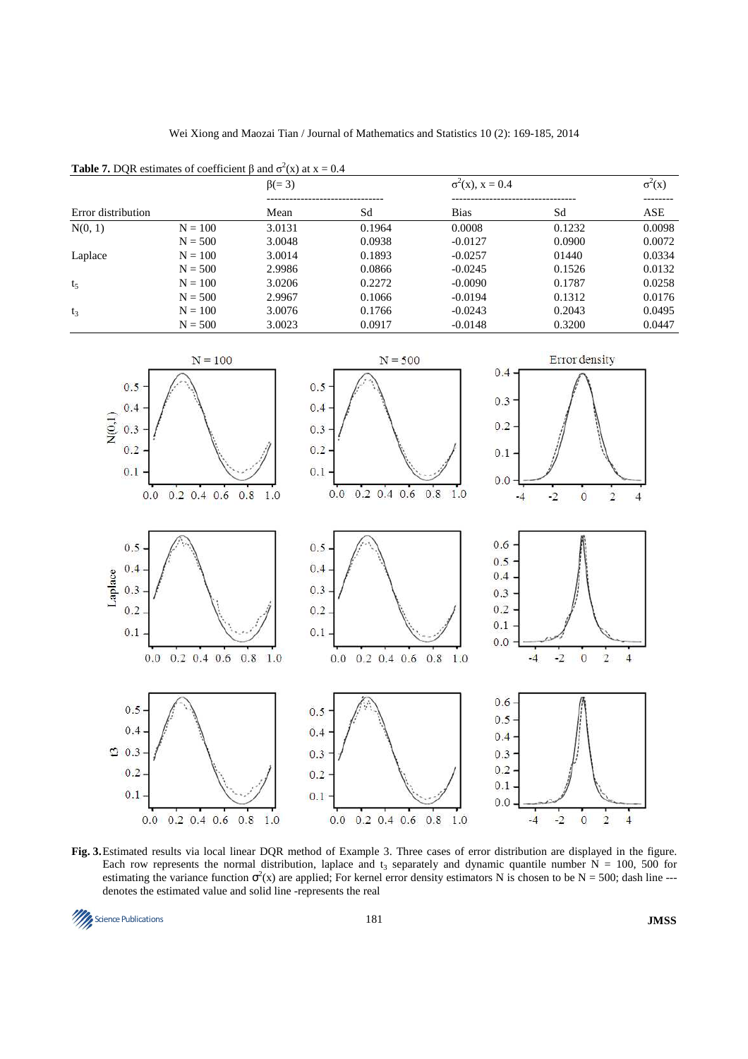**Table 7.** DQR estimates of coefficient  $\beta$  and  $\sigma^2(x)$  at  $x = 0.4$ 



**Fig. 3.** Estimated results via local linear DQR method of Example 3. Three cases of error distribution are displayed in the figure. Each row represents the normal distribution, laplace and  $t_3$  separately and dynamic quantile number  $N = 100$ , 500 for estimating the variance function  $\sigma^2(x)$  are applied; For kernel error density estimators N is chosen to be N = 500; dash line --denotes the estimated value and solid line -represents the real

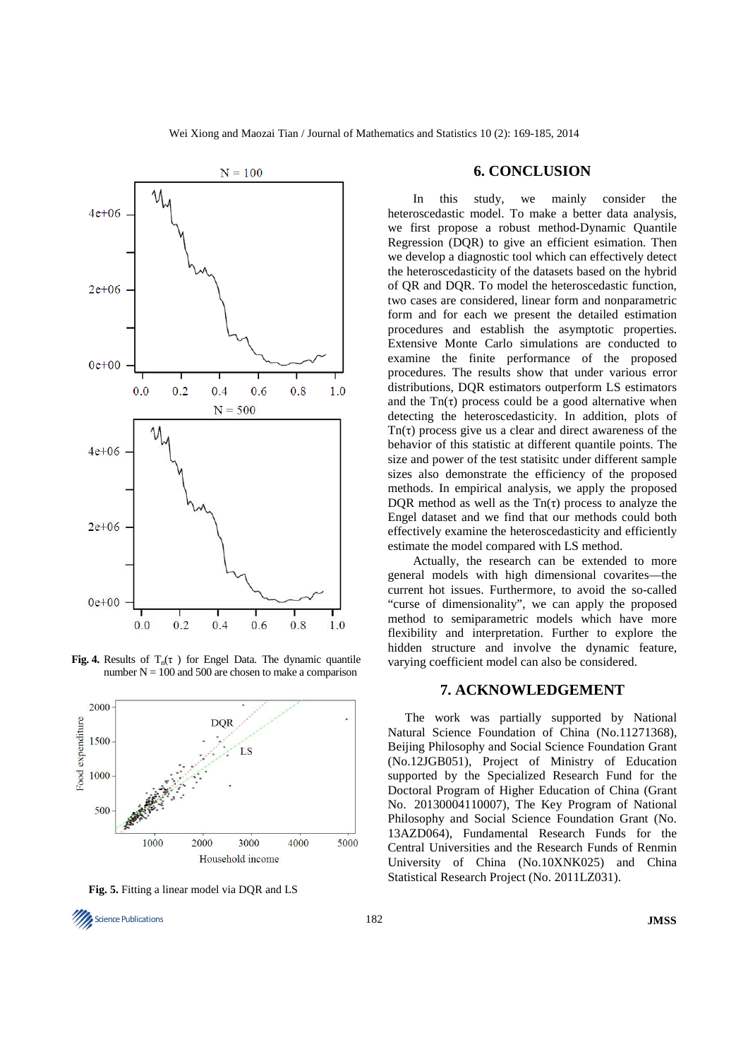

**Fig. 4.** Results of  $T_n(\tau)$  for Engel Data. The dynamic quantile number  $N = 100$  and 500 are chosen to make a comparison



**Fig. 5.** Fitting a linear model via DQR and LS

# **6. CONCLUSION**

In this study, we mainly consider the heteroscedastic model. To make a better data analysis, we first propose a robust method-Dynamic Quantile Regression (DQR) to give an efficient esimation. Then we develop a diagnostic tool which can effectively detect the heteroscedasticity of the datasets based on the hybrid of QR and DQR. To model the heteroscedastic function, two cases are considered, linear form and nonparametric form and for each we present the detailed estimation procedures and establish the asymptotic properties. Extensive Monte Carlo simulations are conducted to examine the finite performance of the proposed procedures. The results show that under various error distributions, DQR estimators outperform LS estimators and the  $Tn(\tau)$  process could be a good alternative when detecting the heteroscedasticity. In addition, plots of Tn( $\tau$ ) process give us a clear and direct awareness of the behavior of this statistic at different quantile points. The size and power of the test statisitc under different sample sizes also demonstrate the efficiency of the proposed methods. In empirical analysis, we apply the proposed DQR method as well as the  $Tn(\tau)$  process to analyze the Engel dataset and we find that our methods could both effectively examine the heteroscedasticity and efficiently estimate the model compared with LS method.

Actually, the research can be extended to more general models with high dimensional covarites—the current hot issues. Furthermore, to avoid the so-called "curse of dimensionality", we can apply the proposed method to semiparametric models which have more flexibility and interpretation. Further to explore the hidden structure and involve the dynamic feature, varying coefficient model can also be considered.

# **7. ACKNOWLEDGEMENT**

The work was partially supported by National Natural Science Foundation of China (No.11271368), Beijing Philosophy and Social Science Foundation Grant (No.12JGB051), Project of Ministry of Education supported by the Specialized Research Fund for the Doctoral Program of Higher Education of China (Grant No. 20130004110007), The Key Program of National Philosophy and Social Science Foundation Grant (No. 13AZD064), Fundamental Research Funds for the Central Universities and the Research Funds of Renmin University of China (No.10XNK025) and China Statistical Research Project (No. 2011LZ031).

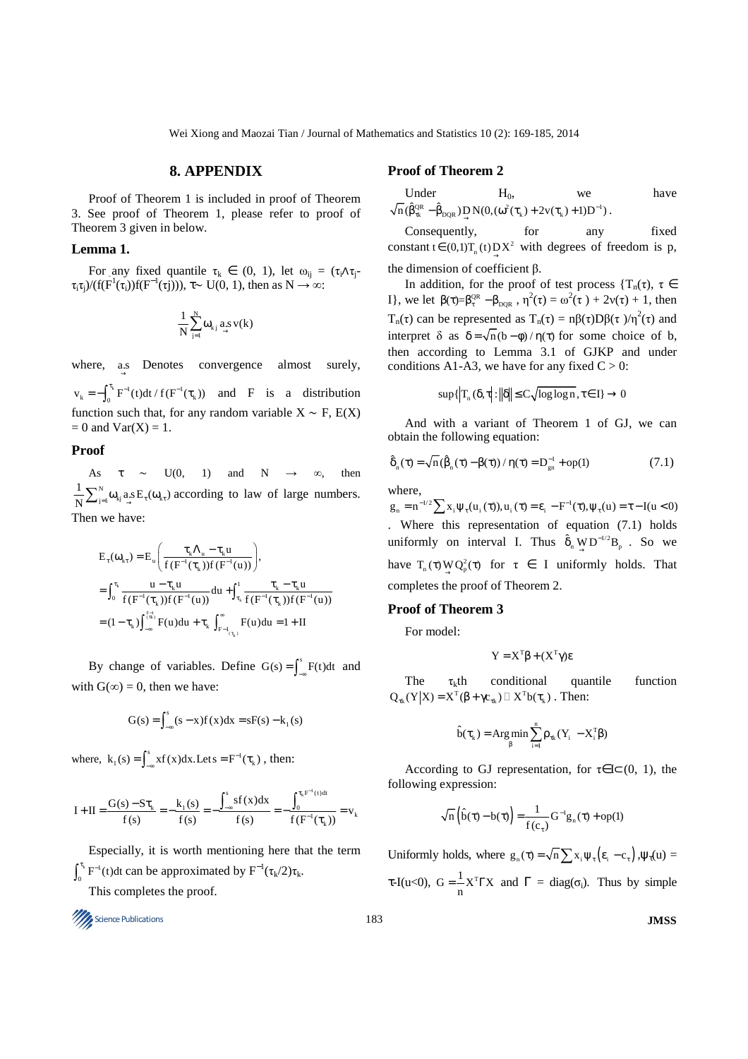Wei Xiong and Maozai Tian / Journal of Mathematics and Statistics 10 (2): 169-185, 2014

# **8. APPENDIX**

Proof of Theorem 1 is included in proof of Theorem 3. See proof of Theorem 1, please refer to proof of Theorem 3 given in below.

### **Lemma 1.**

For any fixed quantile  $\tau_k \in (0, 1)$ , let  $\omega_{ij} = (\tau_i \wedge \tau_j - \tau_i)$  $\tau_i \tau_j$ )/(f(F<sup>1</sup>( $\tau_i$ ))f(F<sup>-1</sup>( $\tau_j$ ))),  $\tau \sim U(0, 1)$ , then as  $N \to \infty$ :

$$
\frac{1}{N}\sum_{j=1}^N \omega_{k\,j} \underset{\rightarrow}{a.s}\, v(k)
$$

where, as Denotes convergence almost surely,

 $v_k = -\int_0^{\tau_k} F^{-1}(t) dt / f(F^{-1}(\tau_k))$  and F is a distribution function such that, for any random variable  $X \sim F$ , E(X)  $= 0$  and  $Var(X) = 1$ .

# **Proof**

As  $\tau \sim U(0, 1)$  and  $N \to \infty$ , then  $\omega_{kj}^N \omega_{kj} a_s E_\tau(\omega_k)$  $\frac{1}{N} \sum_{j=1}^{N} \omega_{kj} a_{j} s E_{\tau}(\omega_{k\tau})$  according to law of large numbers. Then we have:

$$
E_{\tau}(\omega_{k\tau}) = E_{u} \left( \frac{\tau_{k} \Lambda_{u} - \tau_{k} u}{f(F^{-1}(\tau_{k})) f(F^{-1}(u))} \right),
$$
  
\n
$$
= \int_{0}^{\tau_{k}} \frac{u - \tau_{k} u}{f(F^{-1}(\tau_{k})) f(F^{-1}(u))} du + \int_{\tau_{k}}^{1} \frac{\tau_{k} - \tau_{k} u}{f(F^{-1}(\tau_{k})) f(F^{-1}(u))}
$$
  
\n
$$
= (1 - \tau_{k}) \int_{-\infty}^{\tau_{(k)}} F(u) du + \tau_{k} \int_{F^{-1}(\tau_{k})}^{\infty} F(u) du = 1 + II
$$

By change of variables. Define  $G(s) = \int_{-\infty}^{s} F(t) dt$  and with  $G(\infty) = 0$ , then we have:

$$
G(s) = \int_{-\infty}^{s} (s - x) f(x) dx = sF(s) - k_1(s)
$$

where,  $k_1(s) = \int_{-\infty}^{s} xf(x)dx$ . Let  $s = F^{-1}(\tau_k)$ , then:

$$
I + II = \frac{G(s) - S\tau_k}{f(s)} = -\frac{k_1(s)}{f(s)} = -\frac{\int_{-\infty}^{s} s f(x) dx}{f(s)} = -\frac{\int_{0}^{\tau_k F^{-1}(t) dt}}{f(F^{-1}(\tau_k))} = v_k
$$

Especially, it is worth mentioning here that the term  $k_{\text{II}}-1$  $\int_0^{\tau_k} F^{-1}(t) dt$  can be approximated by  $F^{-1}(\tau_k/2)\tau_k$ .

This completes the proof.



#### **Proof of Theorem 2**

Under 
$$
H_0
$$
, we have  
\n $\sqrt{n}(\hat{\beta}_{\alpha}^{QR} - \hat{\beta}_{DQR}) \underset{\rightarrow}{D} N(0, (\omega^2(\tau_k) + 2v(\tau_k) + 1)D^{-1}).$ 

Consequently, for any fixed constant  $t \in (0,1)T_n(t)DX^2$  with degrees of freedom is p, the dimension of coefficient β.

In addition, for the proof of test process  $\{T_n(\tau), \tau \in$ I}, we let  $\beta(\tau)=\beta_{\tau}^{QR} - \beta_{DQR}$ ,  $\eta^2(\tau) = \omega^2(\tau) + 2v(\tau) + 1$ , then  $T_n(\tau)$  can be represented as  $T_n(\tau) = n\beta(\tau)D\beta(\tau)/\eta^2(\tau)$  and interpret  $\delta$  as  $\delta = \sqrt{n(b-\phi)/n(\tau)}$  for some choice of b, then according to Lemma 3.1 of GJKP and under conditions A1-A3, we have for any fixed  $C > 0$ :

$$
\sup\{\left|\mathcal{T}_n\left(\delta,\tau\right]:\left\|\delta\right\|\leq C\sqrt{\log\log n},\tau\in I\}\to 0
$$

And with a variant of Theorem 1 of GJ, we can obtain the following equation:

$$
\hat{\delta}_n(\tau) = \sqrt{n} \left( \hat{\beta}_n(\tau) - \beta(\tau) \right) / \eta(\tau) = D_{\text{gn}}^{-1} + \text{op}(1) \tag{7.1}
$$

where,

 $g_n = n^{-1/2} \sum_{i} x_i \psi_\tau(u_i(\tau))$ ,  $u_i(\tau) = \varepsilon_i - F^{-1}(\tau)$ ,  $\psi_\tau(u) = \tau - I(u < 0)$ . Where this representation of equation (7.1) holds uniformly on interval I. Thus  $\hat{\delta}_n \underset{\rightarrow}{W} D^{-1/2} B_p$ . So we have  $T_n(\tau) W Q_p^2(\tau)$  for  $\tau \in I$  uniformly holds. That completes the proof of Theorem 2.

#### **Proof of Theorem 3**

For model:

$$
Y = X^T \beta + (X^T \gamma) \epsilon
$$

The  $\tau_k$ th conditional quantile function  $Q_{\tau k}(Y|X) = X^{T}(\beta + \gamma c_{\tau k})$   $X^{T}b(\tau_{k})$ . Then:

$$
\hat{b}(\tau_{k}) = \operatorname{Arg\,min}_{\beta} \sum_{i=1}^{n} \rho_{\tau k}(Y_{i} - X_{i}^{T}\beta)
$$

According to GJ representation, for  $\tau \in I \subset (0, 1)$ , the following expression:

$$
\sqrt{n}\left(\hat{b}(\tau)-b(\tau)\right)=\frac{1}{f(c_{\tau})}G^{-1}g_{n}(\tau)+op(1)
$$

Uniformly holds, where  $g_n(\tau) = \sqrt{n} \sum x_i \psi_\tau (\varepsilon - c_\tau)$ ,  $\psi_\tau(u) =$ τ-I(u<0),  $G = \frac{1}{n} X^T \Gamma X$  and  $\Gamma = \text{diag}(\sigma_i)$ . Thus by simple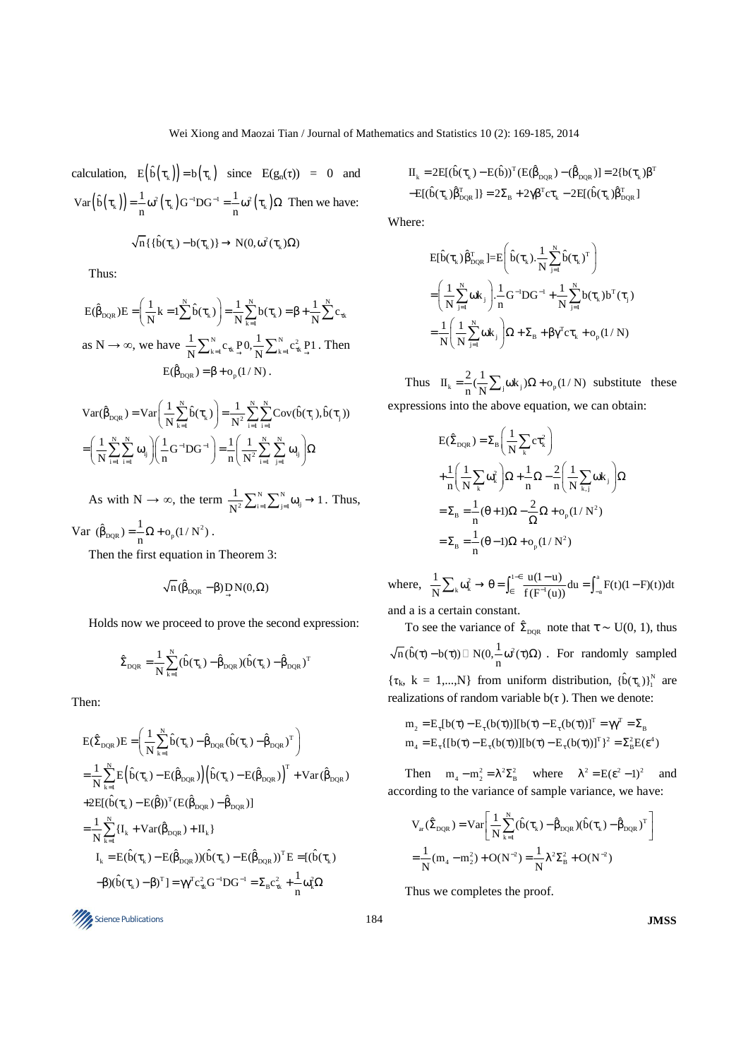calculation,  $E(\hat{b}(\tau_k)) = b(\tau_k)$  since  $E(g_n(\tau)) = 0$  and  $Var(\hat{b}(\tau_k)) = \frac{1}{n} \omega^2(\tau_k) G^{-1}DG^{-1} = \frac{1}{n} \omega^2(\tau_k) \Omega$  Then we have:

$$
\sqrt{n}\left\{\{\hat{b}(\tau_{_k})\!-\!b(\tau_{_k})\}\right.\!\rightarrow\! N(0,\omega^2(\tau_{_k})\Omega)
$$

Thus:

 $N$ ,  $1 N$  1 N  $E(\hat{\beta}_{DQR})E = \left(\frac{1}{N}k = 1\sum_{k=1}^{N} \hat{b}(\tau_{k})\right) = \frac{1}{N}\sum_{k=1}^{N} b(\tau_{k}) = \beta + \frac{1}{N}\sum_{k=1}^{N} c_{\tau_{k}}$ as  $N \to \infty$ , we have  $\frac{1}{N} \sum_{k=1}^{N} c_{rk} P_{\to}^{0} \frac{1}{N} \sum_{k=1}^{N} c_{rk}^2 P_{\to}^{1}$ . Then  $E(\hat{\beta}_{\text{DOR}}) = \beta + o_n(1/N)$ .

$$
Var(\hat{\beta}_{DQR}) = Var\left(\frac{1}{N}\sum_{k=1}^{N}\hat{b}(\tau_k)\right) = \frac{1}{N^2}\sum_{i=1}^{N}\sum_{i=1}^{N}Cov(\hat{b}(\tau_i), \hat{b}(\tau_j))
$$

$$
= \left(\frac{1}{N}\sum_{i=1}^{N}\sum_{i=1}^{N}\omega_{ij}\right)\left(\frac{1}{n}G^{-1}DG^{-1}\right) = \frac{1}{n}\left(\frac{1}{N^2}\sum_{i=1}^{N}\sum_{j=1}^{N}\omega_{ij}\right)\Omega
$$

As with  $N \to \infty$ , the term  $\frac{1}{N^2} \sum_{i=1}^{N} \sum_{j=1}^{N} \omega_{ij}$  $\frac{1}{N^2} \sum_{i=1}^{N} \sum_{j=1}^{N} \omega_{ij} \rightarrow 1$ . Thus,

Var  $(\hat{\beta}_{DQR}) = \frac{1}{n} \Omega + o_p(1/N^2)$ .

Then the first equation in Theorem 3:

$$
\sqrt{n} \, (\hat{\beta}_{DQR} - \beta) \mathop{D}_{\rightarrow} N(0, \Omega)
$$

Holds now we proceed to prove the second expression:

$$
\hat{\Sigma}_{\text{DQR}} = \frac{1}{N} \sum_{k=1}^{N} (\hat{b}(\tau_k) - \hat{\beta}_{\text{DQR}}) (\hat{b}(\tau_k) - \hat{\beta}_{\text{DQR}})^T
$$

Then:

$$
\begin{aligned} E(\hat{\Sigma}_{\text{DQR}})E=&\Bigg(\frac{1}{N}\sum_{\text{k=1}}^{N}\hat{b}(\tau_{\text{k}})-\hat{\beta}_{\text{DQR}}(\hat{b}(\tau_{\text{k}})-\hat{\beta}_{\text{DQR}})^{T}\Bigg)\\ =&\frac{1}{N}\sum_{\text{k=1}}^{N}E\Big(\hat{b}(\tau_{\text{k}})-E(\hat{\beta}_{\text{DQR}})\Big)\Big(\hat{b}(\tau_{\text{k}})-E(\hat{\beta}_{\text{DQR}})\Big)^{T}+Var(\hat{\beta}_{\text{DQR}})\\ +2E[(\hat{b}(\tau_{\text{k}})-E(\hat{\beta}))^{T}(E(\hat{\beta}_{\text{DQR}})-\hat{\beta}_{\text{DQR}})]\\ =&\frac{1}{N}\sum_{\text{k=1}}^{N}\{I_{\text{k}}+Var(\hat{\beta}_{\text{DQR}})+II_{\text{k}}\} \\ &I_{\text{k}}=E(\hat{b}(\tau_{\text{k}})-E(\hat{\beta}_{\text{DQR}}))(\hat{b}(\tau_{\text{k}})-E(\hat{\beta}_{\text{DQR}}))^{T}E=[(\hat{b}(\tau_{\text{k}})\\ &-\beta)(\hat{b}(\tau_{\text{k}})-\beta)^{T}]\bigg|=\gamma\gamma^{T}c_{\text{rk}}^{2}G^{-1}DG^{-1}=\Sigma_{\text{B}}c_{\text{rk}}^{2}+\frac{1}{n}\omega_{\text{k}}^{2}\Omega\end{aligned}
$$

$$
\begin{aligned} &H_k=2E[(\hat{b}(\tau_k)-E(\hat{b}))^T(E(\hat{\beta}_{DQR})-(\hat{\beta}_{DQR})]=2\{b(\tau_k)\beta^T\\ &-E[(\hat{b}(\tau_k)\hat{\beta}_{DQR}^T)]=2\Sigma_B+2\gamma\beta^T c\tau_k-2E[(\hat{b}(\tau_k)\hat{\beta}_{DQR}^T]\end{aligned}
$$

Where:

$$
\begin{aligned} &E[\hat{b}(\tau_k)\hat{\beta}_{DQR}^T] = E\Bigg(\hat{b}(\tau_k).\frac{1}{N}\sum_{j=1}^N\hat{b}(\tau_k)^T\Bigg)\\ &= \Bigg(\frac{1}{N}\sum_{j=1}^N\omega k_j\Bigg).\frac{1}{n}G^{-1}DG^{-1} + \frac{1}{N}\sum_{j=1}^N b(\tau_k)b^T(\tau_j)\\ &= \frac{1}{N}\Bigg(\frac{1}{N}\sum_{j=1}^N\omega k_j\Bigg)\Omega + \Sigma_B + \beta\gamma^T c\tau_k + o_p(1/N) \end{aligned}
$$

Thus  $II_k = \frac{2}{n} (\frac{1}{N} \sum_j \omega k_j) \Omega + o_p(1/N)$  substitute these expressions into the above equation, we can obtain:

$$
E(\hat{\Sigma}_{DQR}) = \Sigma_B \left(\frac{1}{N} \sum_k c \tau_k^2\right)
$$
  
+ 
$$
\frac{1}{n} \left(\frac{1}{N} \sum_k \omega_k^2\right) \Omega + \frac{1}{n} \Omega - \frac{2}{n} \left(\frac{1}{N} \sum_{k,j} \omega_{k,j}\right) \Omega
$$
  
= 
$$
\Sigma_B = \frac{1}{n} (\theta + 1) \Omega - \frac{2}{\Omega} \Omega + o_p (1/N^2)
$$
  
= 
$$
\Sigma_B = \frac{1}{n} (\theta - 1) \Omega + o_p (1/N^2)
$$

where,  $\frac{1}{N} \sum_{k} \omega_k^2 \to \theta = \int_{\epsilon}^{1-\epsilon} \frac{u(1-u)}{f(F^{-1}(u))} du = \int_{-a}^{a} F(t)(1-F)(t)) dt$ −∈  $\epsilon$  f(F<sup>-1</sup>(ii))<sup>au</sup> J- $\sum_{k} \omega_k^2 \to \theta = \int_{\epsilon}^{1-\epsilon} \frac{u(1-u)}{f(E^{-1}(u))} du = \int_{-a}^{a} F(t) (1-\epsilon) du$ 

and a is a certain constant.

To see the variance of  $\hat{\Sigma}_{\text{DQR}}$  note that  $\tau \sim U(0, 1)$ , thus  $\overline{n}(\hat{b}(\tau)-b(\tau))$   $N(0,\frac{1}{n}\omega^2(\tau)\Omega)$ . For randomly sampled  $\{\tau_k, k = 1,...,N\}$  from uniform distribution,  $\{\hat{b}(\tau_k)\}_{1}^N$  are realizations of random variable  $b(\tau)$ . Then we denote:

$$
m_2 = E_{\tau}[b(\tau) - E_{\tau}(b(\tau))][b(\tau) - E_{\tau}(b(\tau))]^T = \gamma Y^T = \Sigma_B
$$
  
\n
$$
m_4 = E_{\tau}\{[b(\tau) - E_{\tau}(b(\tau))][b(\tau) - E_{\tau}(b(\tau))]^T\}^2 = \Sigma_B^2 E(\epsilon^4)
$$

Then  $m_4 - m_2^2 = \lambda^2 \Sigma_B^2$  where  $\lambda^2 = E(\epsilon^2 - 1)^2$  and according to the variance of sample variance, we have:

$$
V_{ar}(\hat{\Sigma}_{DQR}) = Var \left[ \frac{1}{N} \sum_{k=1}^{N} (\hat{b}(\tau_k) - \hat{\beta}_{DQR}) (\hat{b}(\tau_k) - \hat{\beta}_{DQR})^T \right]
$$
  
= 
$$
\frac{1}{N} (m_4 - m_2^2) + O(N^{-2}) = \frac{1}{N} \lambda^2 \Sigma_B^2 + O(N^{-2})
$$

Thus we completes the proof.